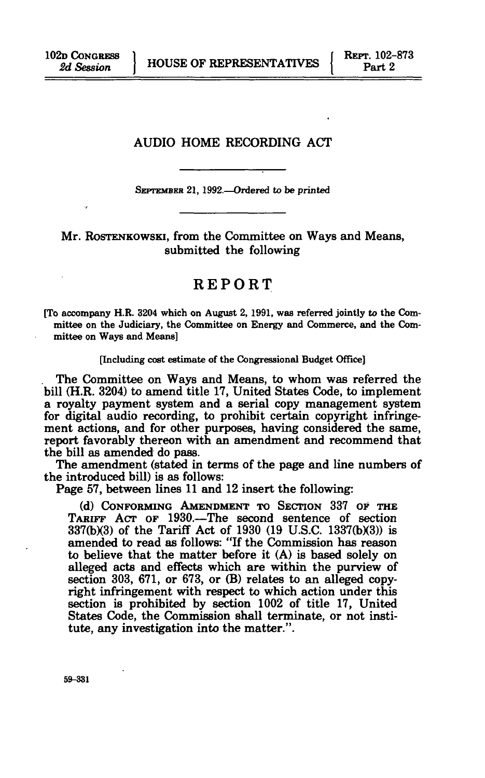## AUDIO HOME RECORDING ACT

SEPTEMBER 21,1992.—Ordered to be printed

Mr. ROSTENKOWSKI, from the Committee on Ways and Means, submitted the following

## REPORT

[To accompany H.R. 3204 which on August 2, 1991, was referred jointly to the Committee on the Judiciary, the Committee on Energy and Commerce, and the Committee on Ways and Means]

#### [Including cost estimate of the Congressional Budget Office]

The Committee on Ways and Means, to whom was referred the bill (H.R. 3204) to amend title 17, United States Code, to implement a royalty payment system and a serial copy management system for digital audio recording, to prohibit certain copyright infringement actions, and for other purposes, having considered the same, report favorably thereon with an amendment and recommend that the bill as amended do pass.

The amendment (stated in terms of the page and line numbers of the introduced bill) is as follows:

Page 57, between lines 11 and 12 insert the following:

(d) CONFORMING AMENDMENT TO SECTION 337 OF THE TARIFF ACT OF 1930.—The second sentence of section 337(b)(3) of the Tariff Act of 1930 (19 U.S.C. 1337(b)(3)) is amended to read as follows: "If the Commission has reason to believe that the matter before it (A) is based solely on alleged acts and effects which are within the purview of section 303, 671, or 673, or (B) relates to an alleged copyright infringement with respect to which action under this section is prohibited by section 1002 of title 17, United States Code, the Commission shall terminate, or not institute, any investigation into the matter.".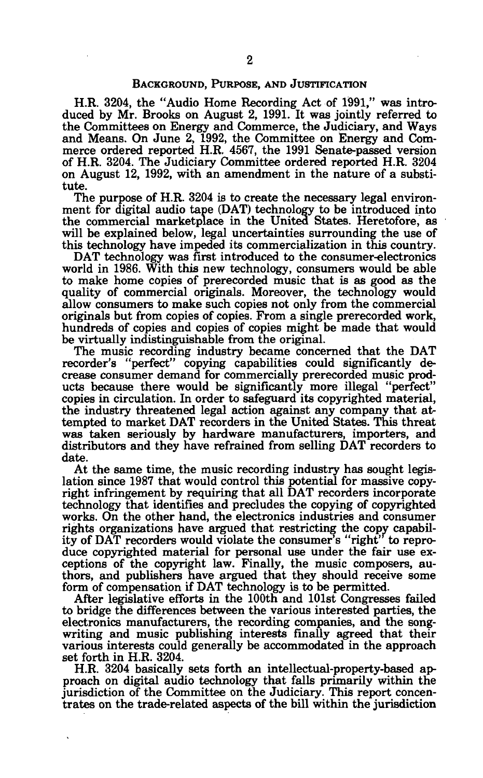## BACKGROUND, PURPOSE, AND JUSTIFICATION

H.R. 3204, the "Audio Home Recording Act of 1991," was introduced by Mr. Brooks on August 2, 1991. It was jointly referred to the Committees on Energy and Commerce, the Judiciary, and Ways and Means. On June 2, 1992, the Committee on Energy and Commerce ordered reported H.R. 4567, the 1991 Senate-passed version of H.R. 3204. The Judiciary Committee ordered reported H.R. 3204 on August 12, 1992, with an amendment in the nature of a substitute.

The purpose of H.R. 3204 is to create the necessary legal environment for digital audio tape (DAT) technology to be introduced into the commercial marketplace in the United States. Heretofore, as will be explained below, legal uncertainties surrounding the use of this technology have impeded its commercialization in this country.

DAT technology was first introduced to the consumer-electronics world in 1986. With this new technology, consumers would be able to make home copies of prerecorded music that is as good as the quality of commercial originals. Moreover, the technology would allow consumers to make such copies not only from the commercial originals but from copies of copies. From a single prerecorded work, hundreds of copies and copies of copies might be made that would be virtually indistinguishable from the original.

The music recording industry became concerned that the DAT recorder's "perfect" copying capabilities could significantly decrease consumer demand for commercially prerecorded music products because there would be significantly more illegal "perfect" copies in circulation. In order to safeguard its copyrighted material, the industry threatened legal action against any company that attempted to market DAT recorders in the United States. This threat was taken seriously by hardware manufacturers, importers, and distributors and they have refrained from selling DAT recorders to date.

At the same time, the music recording industry has sought legislation since 1987 that would control this potential for massive copyright infringement by requiring that all DAT recorders incorporate technology that identifies and precludes the copying of copyrighted works. On the other hand, the electronics industries and consumer rights organizations have argued that restricting the copy capability of DAT recorders would violate the consumer's "right" to reproduce copyrighted material for personal use under the fair use exceptions of the copyright law. Finally, the music composers, authors, and publishers have argued that they should receive some form of compensation if DAT technology is to be permitted.

After legislative efforts in the 100th and 101st Congresses failed to bridge the differences between the various interested parties, the electronics manufacturers, the recording companies, and the songwriting and music publishing interests finally agreed that their various interests could generally be accommodated in the approach set forth in H.R. 3204.

H.R. 3204 basically sets forth an intellectual-property-based approach on digital audio technology that falls primarily within the jurisdiction of the Committee on the Judiciary. This report concentrates on the trade-related aspects of the bill within the jurisdiction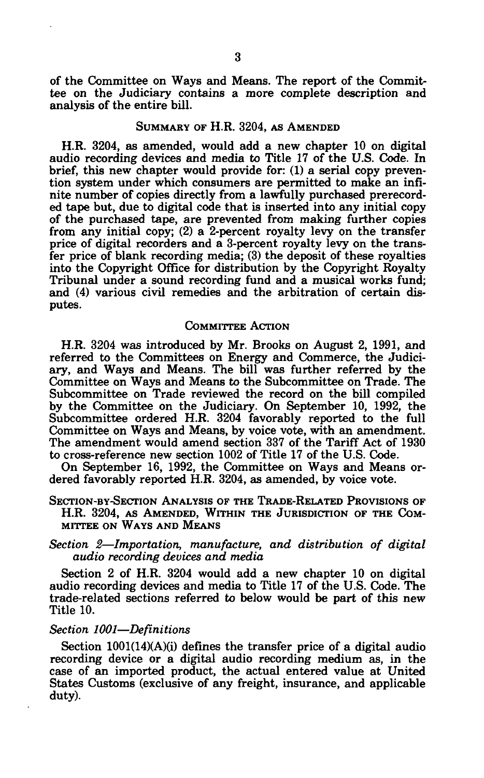of the Committee on Ways and Means. The report of the Committee on the Judiciary contains a more complete description and analysis of the entire bill.

## SUMMARY OF H.R. 3204, AS AMENDED

H.R. 3204, as amended, would add a new chapter 10 on digital audio recording devices and media to Title 17 of the U.S. Code. In brief, this new chapter would provide for: (1) a serial copy prevention system under which consumers are permitted to make an infinite number of copies directly from a lawfully purchased prerecorded tape but, due to digital code that is inserted into any initial copy of the purchased tape, are prevented from making further copies from any initial copy; (2) a 2-percent royalty levy on the transfer price of digital recorders and a 3-percent royalty levy on the transfer price of blank recording media; (3) the deposit of these royalties into the Copyright Office for distribution by the Copyright Royalty Tribunal under a sound recording fund and a musical works fund; and (4) various civil remedies and the arbitration of certain disputes.

## COMMITTEE ACTION

H.R. 3204 was introduced by Mr. Brooks on August 2, 1991, and referred to the Committees on Energy and Commerce, the Judiciary, and Ways and Means. The bill was further referred by the Committee on Ways and Means to the Subcommittee on Trade. The Subcommittee on Trade reviewed the record on the bill compiled by the Committee on the Judiciary. On September 10, 1992, the Subcommittee ordered H.R. 3204 favorably reported to the full Committee on Ways and Means, by voice vote, with an amendment. The amendment would amend section 337 of the Tariff Act of 1930 to cross-reference new section 1002 of Title 17 of the U.S. Code.

On September 16, 1992, the Committee on Ways and Means ordered favorably reported H.R. 3204, as amended, by voice vote.

SECTION-BY-SECTION ANALYSIS OF THE TRADE-RELATED PROVISIONS OF H.R. 3204, AS AMENDED, WITHIN THE JURISDICTION OF THE COM-MITTEE ON WAYS AND MEANS

*Section 2*—*Importation, manufacture, and distribution of digital audio recording devices and media* 

Section 2 of H.R. 3204 would add a new chapter 10 on digital audio recording devices and media to Title 17 of the U.S. Code. The trade-related sections referred to below would be part of this new Title 10.

## *Section 1001*—*Definitions*

Section 1001(14)(A)(i) defines the transfer price of a digital audio recording device or a digital audio recording medium as, in the case of an imported product, the actual entered value at United States Customs (exclusive of any freight, insurance, and applicable duty).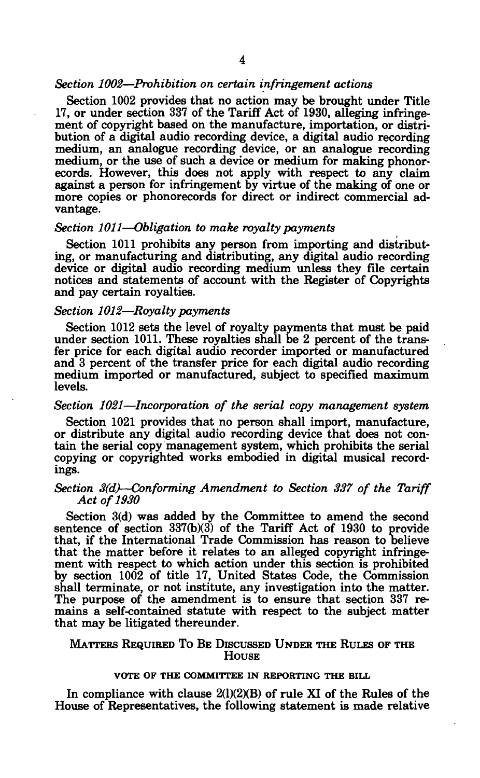### *Section 1002*—*Prohibition on certain infringement actions*

Section 1002 provides that no action may be brought under Title 17, or under section 337 of the Tariff Act of 1930, alleging infringement of copyright based on the manufacture, importation, or distribution of a digital audio recording device, a digital audio recording medium, an analogue recording device, or an analogue recording medium, or the use of such a device or medium for making phonorecords. However, this does not apply with respect to any claim against a person for infringement by virtue of the making of one or more copies or phonorecords for direct or indirect commercial advantage.

## *Section 1011*—*Obligation to make royalty payments*

Section 1011 prohibits any person from importing and distributing, or manufacturing and distributing, any digital audio recording device or digital audio recording medium unless they file certain notices and statements of account with the Register of Copyrights and pay certain royalties.

## *Section 1012*—*Royalty payments*

Section 1012 sets the level of royalty payments that must be paid under section 1011. These royalties shall be 2 percent of the transfer price for each digital audio recorder imported or manufactured and 3 percent of the transfer price for each digital audio recording medium imported or manufactured, subject to specified maximum levels.

## *Section 1021*—*Incorporation of the serial copy management system*

Section 1021 provides that no person shall import, manufacture, or distribute any digital audio recording device that does not contain the serial copy management system, which prohibits the serial copying or copyrighted works embodied in digital musical recordings.

## *Section 3(d)*—*Conforming Amendment to Section 337 of the Tariff Act of 1930*

Section 3(d) was added by the Committee to amend the second sentence of section  $337(b)(3)$  of the Tariff Act of 1930 to provide that, if the International Trade Commission has reason to believe that the matter before it relates to an alleged copyright infringement with respect to which action under this section is prohibited by section 1002 of title 17, United States Code, the Commission shall terminate, or not institute, any investigation into the matter. The purpose of the amendment is to ensure that section 337 remains a self-contained statute with respect to the subject matter that may be litigated thereunder.

## MATTERS REQUIRED TO BE DISCUSSED UNDER THE RULES OF THE **HOUSE**

## VOTE OF THE COMMITTEE IN REPORTING THE BILL

In compliance with clause  $2(1)(2)(B)$  of rule XI of the Rules of the House of Representatives, the following statement is made relative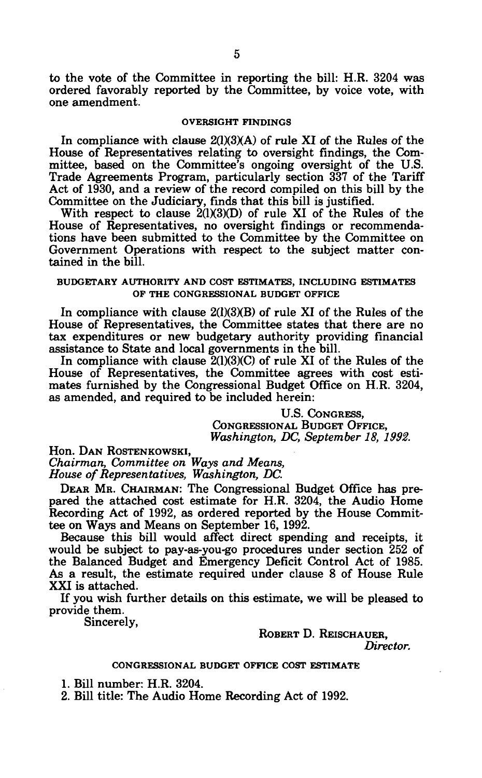to the vote of the Committee in reporting the bill: H.R. 3204 was ordered favorably reported by the Committee, by voice vote, with one amendment.

#### **OVERSIGHT FINDINGS**

In compliance with clause  $2(1)(3)(A)$  of rule XI of the Rules of the House of Representatives relating to oversight findings, the Committee, based on the Committee's ongoing oversight of the U.S. Trade Agreements Program, particularly section 337 of the Tariff Act of 1930, and a review of the record compiled on this bill by the Committee on the Judiciary, finds that this bill is justified.

With respect to clause  $2(1)(3)(D)$  of rule XI of the Rules of the House of Representatives, no oversight findings or recommendations have been submitted to the Committee by the Committee on Government Operations with respect to the subject matter contained in the bill.

## **BUDGETARY AUTHORITY AND COST ESTIMATES, INCLUDING ESTIMATES OP THE CONGRESSIONAL BUDGET OFFICE**

In compliance with clause 2(1)(3)(B) of rule XI of the Rules of the House of Representatives, the Committee states that there are no tax expenditures or new budgetary authority providing financial assistance to State and local governments in the bill.

In compliance with clause  $2(1)(3)(C)$  of rule XI of the Rules of the House of Representatives, the Committee agrees with cost estimates furnished by the Congressional Budget Office on H.R. 3204, as amended, and required to be included herein:

> U.S. CONGRESS, CONGRESSIONAL BUDGET OFFICE, *Washington, DC, September 18, 1992.*

Hon. DAN ROSTENKOWSKI, *Chairman, Committee on Ways and Means, House of Representatives, Washington, DC.* 

DEAR MR. CHAIRMAN: The Congressional Budget Office has prepared the attached cost estimate for H.R. 3204, the Audio Home Recording Act of 1992, as ordered reported by the House Committee on Ways and Means on September 16, 1992.

Because this bill would affect direct spending and receipts, it would be subject to pay-as-you-go procedures under section 252 of the Balanced Budget and Emergency Deficit Control Act of 1985. As a result, the estimate required under clause 8 of House Rule XXI is attached.

If you wish further details on this estimate, we will be pleased to provide them.

Sincerely,

ROBERT D. REISCHAUER,

*Director.* 

#### CONGRESSIONAL BUDGET OFFICE COST ESTIMATE

1. Bill number: H.R. 3204.

2. Bill title: The Audio Home Recording Act of 1992.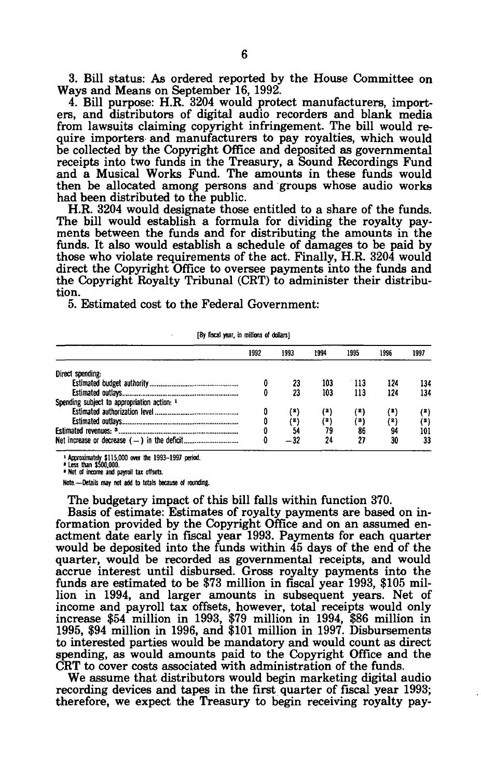3. Bill status: As ordered reported by the House Committee on Ways and Means on September 16, 1992.

4. Bill purpose: H.R. 3204 would protect manufacturers, importers, and distributors of digital audio recorders and blank media from lawsuits claiming copyright infringement. The bill would require importers and manufacturers to pay royalties, which would be collected by the Copyright Office and deposited as governmental receipts into two funds in the Treasury, a Sound Recordings Fund and a Musical Works Fund. The amounts in these funds would then be allocated among persons and groups whose audio works had been distributed to the public.

H.R. 3204 would designate those entitled to a share of the funds. The bill would establish a formula for dividing the royalty payments between the funds and for distributing the amounts in the funds. It also would establish a schedule of damages to be paid by those who violate requirements of the act. Finally, H.R. 3204 would direct the Copyright Office to oversee payments into the funds and the Copyright Royalty Tribunal (CRT) to administer their distribution.

5. Estimated cost to the Federal Government:

#### **[By fiscal year, in millions of dollars]**

|                                             | 1992 | 1993 | 1994 | 1995  | 1996 | 1997 |
|---------------------------------------------|------|------|------|-------|------|------|
| Direct spending:                            |      |      |      |       |      |      |
|                                             |      | 23   | 103  | 113   | 124  | 134  |
|                                             |      | 23   | 103  | 113   | 124  | 134  |
| Spending subject to appropriation action: 1 |      |      |      |       |      |      |
|                                             |      | '*)  | (*)  | ( 2 ) |      | (2)  |
|                                             |      | ۵)   | (*)  | (2)   | (*)  | (*)  |
|                                             |      | 54   | 79   | 86    | 94   | 101  |
|                                             |      |      | 24   | 27    | 30   | 33   |

**1 Approximately \$115,000 over the 1993-1997 period. ' Less than \$500,000.** 

**\* Net of income and payroll tax offsets.** 

**Note.—Details may not add to totals because of rounding.** 

The budgetary impact of this bill falls within function 370.

Basis of estimate: Estimates of royalty payments are based on information provided by the Copyright Office and on an assumed enactment date early in fiscal year 1993. Payments for each quarter would be deposited into the funds within 45 days of the end of the quarter, would be recorded as governmental receipts, and would accrue interest until disbursed. Gross royalty payments into the funds are estimated to be \$73 million in fiscal year 1993, \$105 million in 1994, and larger amounts in subsequent years. Net of income and payroll tax offsets, however, total receipts would only increase \$54 million in 1993, \$79 million in 1994, \$86 million in 1995, \$94 million in 1996, and \$101 million in 1997. Disbursements to interested parties would be mandatory and would count as direct spending, as would amounts paid to the Copyright Office and the CRT to cover costs associated with administration of the funds.

We assume that distributors would begin marketing digital audio recording devices and tapes in the first quarter of fiscal year 1993; therefore, we expect the Treasury to begin receiving royalty pay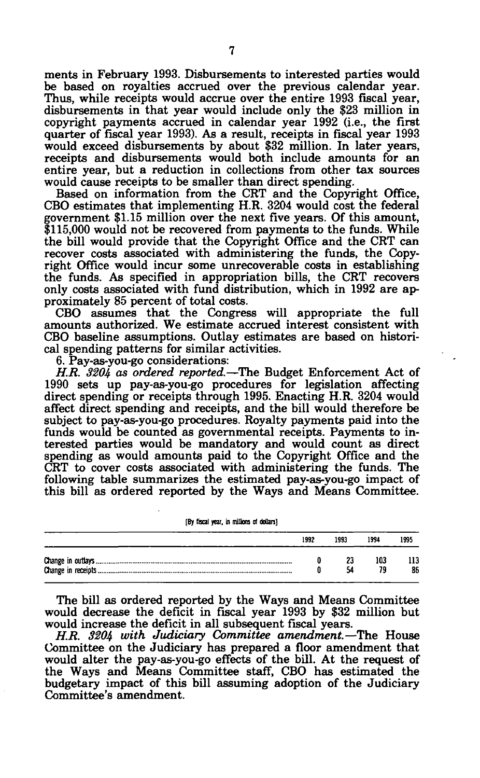ments in February 1993. Disbursements to interested parties would be based on royalties accrued over the previous calendar year. Thus, while receipts would accrue over the entire 1993 fiscal year, disbursements in that year would include only the \$23 million in copyright payments accrued in calendar year 1992 (i.e., the first quarter of fiscal year 1993). As a result, receipts in fiscal year 1993 would exceed disbursements by about \$32 million. In later years, receipts and disbursements would both include amounts for an entire year, but a reduction in collections from other tax sources would cause receipts to be smaller than direct spending.

Based on information from the CRT and the Copyright Office, CBO estimates that implementing H.R. 3204 would cost the federal government \$1.15 million over the next five years. Of this amount, \$115,000 would not be recovered from payments to the funds. While the bill would provide that the Copyright Office and the CRT can recover costs associated with administering the funds, the Copyright Office would incur some unrecoverable costs in establishing the funds. As specified in appropriation bills, the CRT recovers only costs associated with fund distribution, which in 1992 are approximately 85 percent of total costs.

CBO assumes that the Congress will appropriate the full amounts authorized. We estimate accrued interest consistent with CBO baseline assumptions. Outlay estimates are based on historical spending patterns for similar activities.

6. Pay-as-you-go considerations:

*H.R. 3204 os ordered reported.*—The Budget Enforcement Act of 1990 sets up pay-as-you-go procedures for legislation affecting direct spending or receipts through 1995. Enacting H.R. 3204 would affect direct spending and receipts, and the bill would therefore be subject to pay-as-you-go procedures. Royalty payments paid into the funds would be counted as governmental receipts. Payments to interested parties would be mandatory and would count as direct spending as would amounts paid to the Copyright Office and the CRT to cover costs associated with administering the funds. The following table summarizes the estimated pay-as-you-go impact of this bill as ordered reported by the Ways and Means Committee.

[By fiscal year, in millions of dollars]

| 1992 | 1993 | 1994 | 1995 |
|------|------|------|------|
|      | 57   | 103  | 86   |

The bill as ordered reported by the Ways and Means Committee would decrease the deficit in fiscal year 1993 by \$32 million but would increase the deficit in all subsequent fiscal years.

*H.R. 3204 with Judiciary Committee amendment.*—The House Committee on the Judiciary has prepared a floor amendment that would alter the pay-as-you-go effects of the bill. At the request of the Ways and Means Committee staff, CBO has estimated the budgetary impact of this bill assuming adoption of the Judiciary Committee's amendment.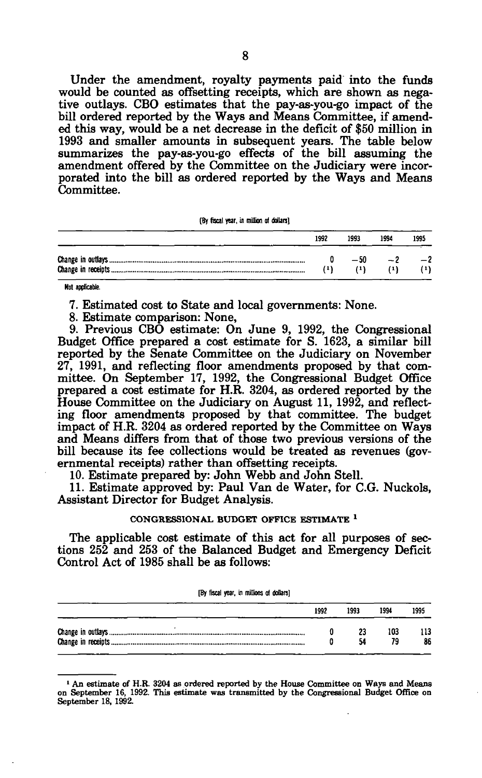Under the amendment, royalty payments paid into the funds would be counted as offsetting receipts, which are shown as negative outlays. CBO estimates that the pay-as-you-go impact of the bill ordered reported by the Ways and Means Committee, if amended this way, would be a net decrease in the deficit of \$50 million in 1993 and smaller amounts in subsequent years. The table below summarizes the pay-as-you-go effects of the bill assuming the amendment offered by the Committee on the Judiciary were incorporated into the bill as ordered reported by the Ways and Means Committee.

**[By fiscal year, in million of dollars]** 

| 1992 | 1993        | 1994 | 1995 |
|------|-------------|------|------|
|      | $-50$<br>71 |      | $-2$ |

**Not applicable.** 

7. Estimated cost to State and local governments: None.

8. Estimate comparison: None,

9. Previous CBO estimate: On June 9, 1992, the Congressional Budget Office prepared a cost estimate for S. 1623, a similar bill reported by the Senate Committee on the Judiciary on November 27, 1991, and reflecting floor amendments proposed by that committee. On September 17, 1992, the Congressional Budget Office prepared a cost estimate for H.R. 3204, as ordered reported by the House Committee on the Judiciary on August 11, 1992, and reflecting floor amendments proposed by that committee. The budget impact of H.R. 3204 as ordered reported by the Committee on Ways and Means differs from that of those two previous versions of the bill because its fee collections would be treated as revenues (governmental receipts) rather than offsetting receipts.

10. Estimate prepared by: John Webb and John Stell.

11. Estimate approved by: Paul Van de Water, for C.G. Nuckols, Assistant Director for Budget Analysis.

#### **CONGRESSIONAL BUDGET OFFICE ESTIMATE**  *1*

The applicable cost estimate of this act for all purposes of sections 252 and 253 of the Balanced Budget and Emergency Deficit Control Act of 1985 shall be as follows:

**[By focal year, in millions of dollars]** 

| 1992 | 1993     | 1994 | 1995 |
|------|----------|------|------|
|      | 23<br>54 | 103  | 86   |

<sup>&</sup>lt;sup>1</sup> An estimate of H.R. 3204 as ordered reported by the House Committee on Ways and Means on September 16, 1992. This estimate was transmitted by the Congressional Budget Office on September 18, 1992.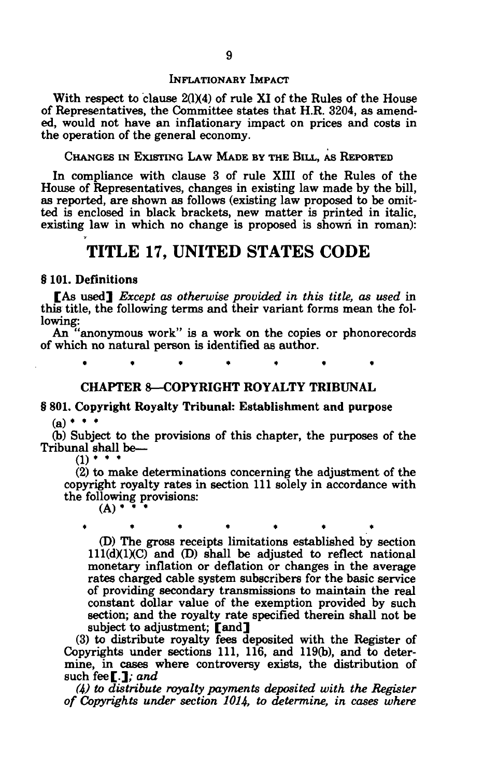## INFLATIONARY IMPACT

With respect to clause  $2(1)(4)$  of rule XI of the Rules of the House of Representatives, the Committee states that H.R. 3204, as amended, would not have an inflationary impact on prices and costs in the operation of the general economy.

## CHANGES IN EXISTING LAW MADE BY THE BILL, AS REPORTED

In compliance with clause 3 of rule XIII of the Rules of the House of Representatives, changes in existing law made by the bill, as reported, are shown as follows (existing law proposed to be omitted is enclosed in black brackets, new matter is printed in italic, existing law in which no change is proposed is shown in roman):

## **TITLE 17, UNITED STATES CODE**

## § 101. Definitions

[As used] *Except as otherwise provided in this title, as used* in this title, the following terms and their variant forms mean the following:

An "anonymous work" is a work on the copies or phonorecords of which no natural person is identified as author.

**\*\*\*\*\*\* \*** 

## CHAPTER 8—COPYRIGHT ROYALTY TRIBUNAL

## § 801. Copyright Royalty Tribunal: Establishment and purpose  $(a)$  \*  $\cdot$

(b) Subject to the provisions of this chapter, the purposes of the Tribunal shall be—

 $(1)$  \* \* \*

(2) to make determinations concerning the adjustment of the copyright royalty rates in section 111 solely in accordance with the following provisions:

 $(A)$  •  $\overline{\phantom{a}}$ 

**\*\*\*\*\*\* \*** 

(D) The gross receipts limitations established by section  $111(d)(1)(C)$  and  $(D)$  shall be adjusted to reflect national monetary inflation or deflation or changes in the average rates charged cable system subscribers for the basic service of providing secondary transmissions to maintain the real constant dollar value of the exemption provided by such section; and the royalty rate specified therein shall not be subject to adjustment; [and]

(3) to distribute royalty fees deposited with the Register of Copyrights under sections 111, 116, and 119(b), and to determine, in cases where controversy exists, the distribution of such fee[.]; *and* 

*(4) to distribute royalty payments deposited with the Register of Copyrights under section 1014, to determine, in cases where*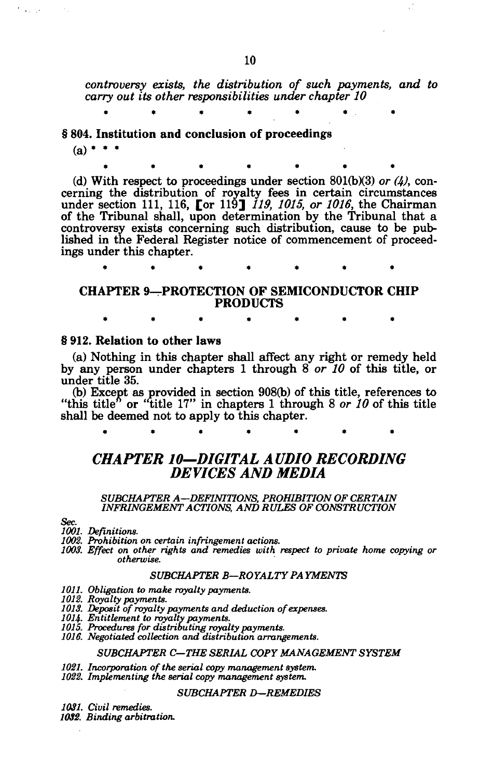*controversy exists, the distribution of such payments, and to carry out its other responsibilities under chapter 10* 

§ 804. Institution and conclusion of proceedings

 $(a)$  \*

(d) With respect to proceedings under section 801(b)(3) *or (4),* concerning the distribution of royalty fees in certain circumstances under section 111, 116, [or 119] *119, 1015, or 1016,* the Chairman of the Tribunal shall, upon determination by the Tribunal that a controversy exists concerning such distribution, cause to be published in the Federal Register notice of commencement of proceedings under this chapter.

**\*\*\*\*\*\* \*** 

CHAPTER 9—PROTECTION OF SEMICONDUCTOR CHIP PRODUCTS

## § 912. Relation to other laws

(a) Nothing in this chapter shall affect any right or remedy held by any person under chapters 1 through 8 *or 10* of this title, or under title 35.

(b) Except as provided in section 908(b) of this title, references to "this title" or "title 17" in chapters 1 through 8 *or 10* of this title shall be deemed not to apply to this chapter.

## *CHAPTER 10—DIGITAL AUDIO RECORDING DEVICES AND MEDIA*

# *SUBCHAPTER A—DEFINITIONS, PROHIBITION OF CERTAIN INFRINGEMENT ACTIONS, AND RULES OF CONSTRUCTION*

*Sec.* 

*1001. Definitions. 1002. Prohibition on certain infringement actions. 1003. Effect on other rights and remedies with respect to private home copying or otherwise.* 

## *SUBCHAPTER B—ROYALTY PAYMENTS*

- *1011. Obligation to make royalty payments.*
- *1012. Royalty payments.*
- *1013. Deposit of royalty payments and deduction of expenses.*
- *10H. Entitlement to royalty payments.*
- *1015. Procedures for distributing royalty payments.*
- *1016. Negotiated collection and distribution arrangements.*

#### *SUBCHAPTER C—THE SERIAL COPY MANAGEMENT SYSTEM*

- *1021. Incorporation of the serial copy management system.*
- *1022. Implementing the serial copy management system.*

#### *SUBCHAPTER D—REMEDIES*

- *1031. Civil remedies.*
- *1032. Binding arbitration.*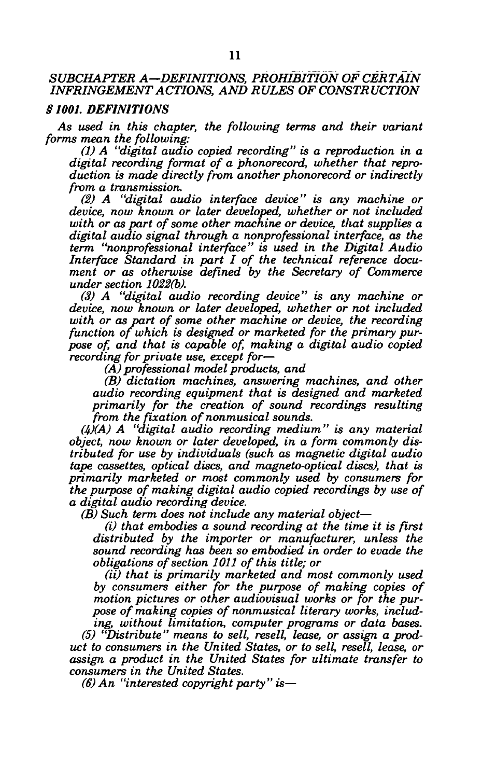## *SUBCHAPTER A—DEFINITIONS, PROHIBITION OF CERTAIN INFRINGEMENT ACTIONS, AND RULES OF CONSTRUCTION*

## *§1001. DEFINITIONS*

*As used in this chapter, the following terms and their variant forms mean the following:* 

*(1) A "digital audio copied recording" is a reproduction in a digital recording format of a phonorecord, whether that reproduction is made directly from another phonorecord or indirectly from a transmission.* 

*(2) A "digital audio interface device" is any machine or device, now known or later developed, whether or not included with or as part of some other machine or device, that supplies a digital audio signal through a nonprofessional interface, as the term "nonprofessional interface" is used in the Digital Audio Interface Standard in part I of the technical reference document or as otherwise defined by the Secretary of Commerce under section 1022(b).* 

*(3) A "digital audio recording device" is any machine or device, now known or later developed, whether or not included with or as part of some other machine or device, the recording function of which is designed or marketed for the primary purpose of, and that is capable of, making a digital audio copied recording for private use, except for*—

*(A) professional model products, and* 

*(B) dictation machines, answering machines, and other audio recording equipment that is designed and marketed primarily for the creation of sound recordings resulting from the fixation of nonmusical sounds.* 

*(4)(A) A "digital audio recording medium" is any material object, now known or later developed, in a form commonly distributed for use by individuals (such as magnetic digital audio tape cassettes, optical discs, and magneto-optical discs), that is primarily marketed or most commonly used by consumers for the purpose of making digital audio copied recordings by use of a digital audio recording device.* 

*(B) Such term does not include any material object*—

*(i) that embodies a sound recording at the time it is first distributed by the importer or manufacturer, unless the sound recording has been so embodied in order to evade the obligations of section 1011 of this title; or* 

*(ii) that is primarily marketed and most commonly used by consumers either for the purpose of making copies of motion pictures or other audiovisual works or for the purpose of making copies of nonmusical literary works, including, without limitation, computer programs or data bases.* 

*(5) "Distribute" means to sell, resell, lease, or assign a product to consumers in the United States, or to sell, resell, lease, or assign a product in the United States for ultimate transfer to consumers in the United States.* 

*(6) An "interested copyright party" is*—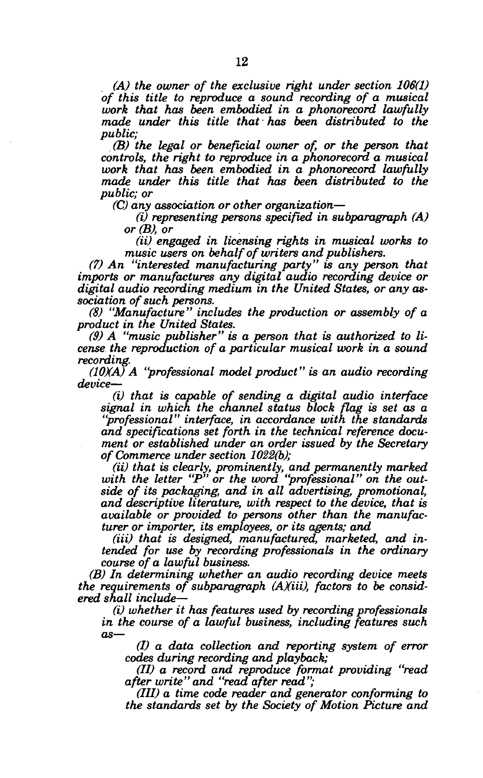*(A) the owner of the exclusive right under section 106(1) of this title to reproduce a sound recording of a musical work that has been embodied in a phonorecord lawfully made under this title that has been distributed to the public;* 

*(B) the legal or beneficial owner of, or the person that controls, the right to reproduce in a phonorecord a musical work that has been embodied in a phonorecord lawfully made under this title that has been distributed to the public; or* 

*(C) any association or other organization*—

*(i) representing persons specified in subparagraph (A) or (B), or* 

*(ii) engaged in licensing rights in musical works to music users on behalf of writers and publishers.* 

*(7) An "interested manufacturing party" is any person that imports or manufactures any digital audio recording device or digital audio recording medium in the United States, or any association of such persons.* 

*(8) "Manufacture" includes the production or assembly of a product in the United States.* 

*(9) A "music publisher" is a person that is authorized to license the reproduction of a particular musical work in a sound recording.* 

*(10XA) A "professional model product" is an audio recording device*—

*(i) that is capable of sending a digital audio interface signal in which the channel status block flag is set as a "professional" interface, in accordance with the standards and specifications set forth in the technical reference document or established under an order issued by the Secretary of Commerce under section 1022(b);* 

*(ii) that is clearly, prominently, and permanently marked with the letter "P" or the word "professional" on the outside of its packaging, and in all advertising, promotional, and descriptive literature, with respect to the device, that is available or provided to persons other than the manufacturer or importer, its employees, or its agents; and* 

(iii) that is designed, manufactured, marketed, and in*tended for use by recording professionals in the ordinary course of a lawful business.* 

*(B) In determining whether an audio recording device meets the requirements of subparagraph (AXiii), factors to be considered shall include*—

*(i) whether it has features used by recording professionals in the course of a lawful business, including features such as*—

*(I) a data collection and reporting system of error codes during recording and playback;* 

*(II) a record and reproduce format providing "read after write" and "read after read";* 

*(III) a time code reader and generator conforming to the standards set by the Society of Motion Picture and*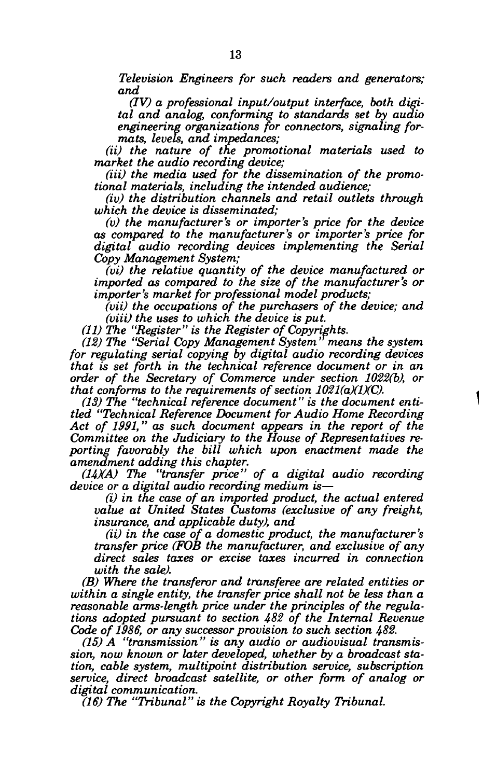*Television Engineers for such readers and generators; and* 

*(IV) a professional input/output interface, both digital and analog, conforming to standards set by audio engineering organizations for connectors, signaling formats, levels, and impedances;* 

*(ii) the nature of the promotional materials used to market the audio recording device;* 

(*iii*) the media used for the dissemination of the promo*tional materials, including the intended audience;* 

*(iv) the distribution channels and retail outlets through which the device is disseminated;* 

*(v) the manufacturer's or importer's price for the device as compared to the manufacturer's or importer's price for digital audio recording devices implementing the Serial Copy Management System;* 

*(vi) the relative quantity of the device manufactured or imported as compared to the size of the manufacturer's or importer's market for professional model products;* 

*(vii) the occupations of the purchasers of the device; and (viii) the uses to which the device is put.* 

*(11) The "Register" is the Register of Copyrights.* 

*(12) The "Serial Copy Management System' means the system for regulating serial copying by digital audio recording devices that is set forth in the technical reference document or in an order of the Secretary of Commerce under section 1022(b), or that conforms to the requirements of section 1021(a)(1)(C).* 

*(13) The "technical reference document" is the document entitled "Technical Reference Document for Audio Home Recording Act of 1991," as such document appears in the report of the Committee on the Judiciary to the House of Representatives reporting favorably the bill which upon enactment made the amendment adding this chapter.* 

*(HXA) The "transfer price" of a digital audio recording device or a digital audio recording medium is*—

*(i) in the case of an imported product, the actual entered value at United States Customs (exclusive of any freight, insurance, and applicable duty), and* 

*(ii) in the case of a domestic product, the manufacturer's transfer price (FOB the manufacturer, and exclusive of any direct sales taxes or excise taxes incurred in connection with the sale).* 

*(B) Where the transferor and transferee are related entities or within a single entity, the transfer price shall not be less than a reasonable arms-length price under the principles of the regulations adopted pursuant to section 482 of the Internal Revenue Code of 1986, or any successor provision to such section 482.* 

*(15) A "transmission" is any audio or audiovisual transmission, now known or later developed, whether by a broadcast station, cable system, multipoint distribution service, subscription service, direct broadcast satellite, or other form of analog or digital communication.* 

*(16) The "Tribunal" is the Copyright Royalty Tribunal.*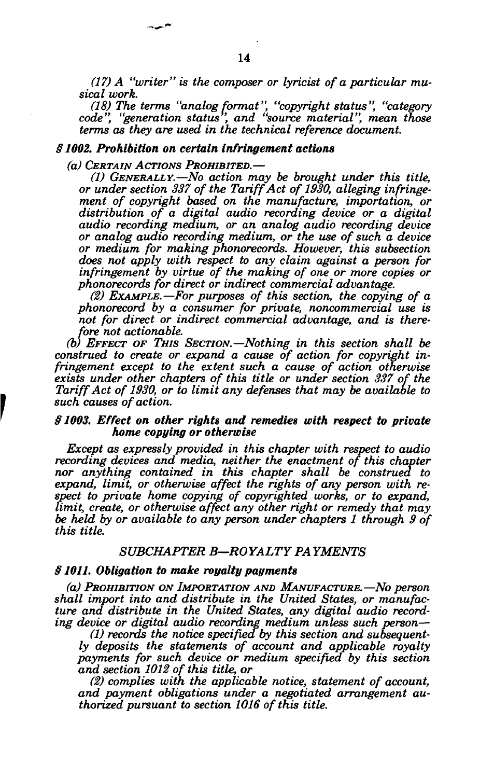*(17) A "writer" is the composer or lyricist of a particular musical work.* 

*(18) The terms "analog format", "copyright status", "category code", "generation status ', and "source material", mean those terms as they are used in the technical reference document.* 

#### *§ 1002. Prohibition on certain infringement actions*

*(a) CERTAIN ACTIONS PROHIBITED.*—

شهدت

*(1) GENERALLY.*—*No action may be brought under this title, or under section 337 of the Tariff Act of 1930, alleging infringement of copyright based on the manufacture, importation, or distribution of a digital audio recording device or a digital audio recording medium, or an analog audio recording device or analog audio recording medium, or the use of such a device or medium for making phonorecords. However, this subsection does not apply with respect to any claim against a person for infringement by virtue of the making of one or more copies or phonorecords for direct or indirect commercial advantage.* 

*(2) EXAMPLE.*—*For purposes of this section, the copying of a phonorecord by a consumer for private, noncommercial use is not for direct or indirect commercial advantage, and is therefore not actionable.* 

*(b) EFFECT OF THIS SECTION.*—*Nothing in this section shall be construed to create or expand a cause of action for copyright infringement except to the extent such a cause of action otherwise exists under other chapters of this title or under section 337 of the Tariff Act of 1930, or to limit any defenses that may be available to such causes of action.* 

## *§1003. Effect on other rights and remedies with respect to private home copying or otherwise*

*Except as expressly provided in this chapter with respect to audio recording devices and media, neither the enactment of this chapter nor anything contained in this chapter shall be construed to expand, limit, or otherwise affect the rights of any person with respect to private home copying of copyrighted works, or to expand, limit, create, or otherwise affect any other right or remedy that may be held by or available to any person under chapters 1 through 9 of this title.* 

## *SUBCHAPTER B—ROYALTY PAYMENTS*

## *§ 1011. Obligation to make royalty payments*

*(a) PROHIBITION ON IMPORTATION AND MANUFACTURE.*—*No person shall import into and distribute in the United States, or manufacture and distribute in the United States, any digital audio recording device or digital audio recording medium unless such person*—

*(1) records the notice specified by this section and subsequently deposits the statements of account and applicable royalty payments for such device or medium specified by this section and section 1012 of this title, or* 

*(2) complies with the applicable notice, statement of account, and payment obligations under a negotiated arrangement authorized pursuant to section 1016 of this title.*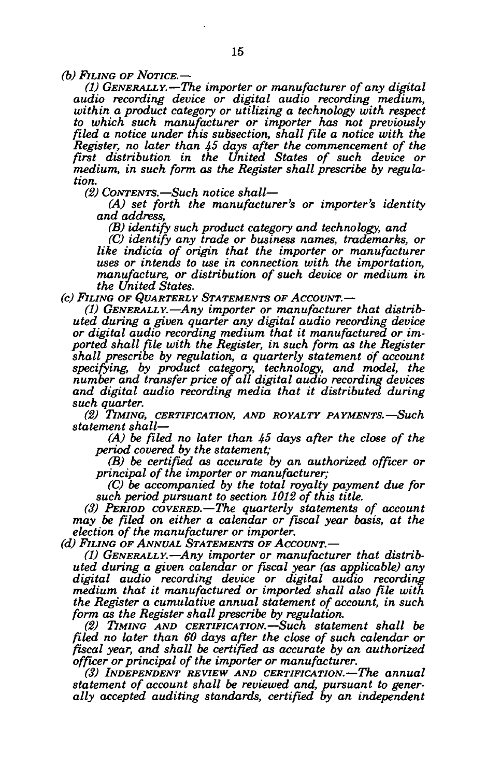*(b) FILING OF NOTICE.*—

*(1) GENERALLY.*—*The importer or manufacturer of any digital audio recording device or digital audio recording medium, within a product category or utilizing a technology with respect to which such manufacturer or importer has not previously filed a notice under this subsection, shall file a notice with the Register, no later than 45 days after the commencement of the first distribution in the United States of such device or medium, in such form as the Register shall prescribe by regulation.* 

*(2) CONTENTS.*—*Such notice shall*—

*(A) set forth the manufacturer's or importer's identity and address,* 

*(B) identify such product category and technology, and* 

*(C) identify any trade or business names, trademarks, or like indicia of origin that the importer or manufacturer uses or intends to use in connection with the importation, manufacture, or distribution of such device or medium in the United States.* 

*(c) FILING OF QUARTERLY STATEMENTS OF ACCOUNT.*—

*(1) GENERALLY.*—*Any importer or manufacturer that distributed during a given quarter any digital audio recording device or digital audio recording medium that it manufactured or imported shall file with the Register, in such form as the Register shall prescribe by regulation, a quarterly statement of account specifying, by product category, technology, and model, the number and transfer price of all digital audio recording devices and digital audio recording media that it distributed during such quarter.* 

*(2) TIMING, CERTIFICATION, AND ROYALTY PAYMENTS.*—*Such statement shall*—

*(A) be filed no later than 45 days after the close of the period covered by the statement;* 

*(B) be certified as accurate by an authorized officer or principal of the importer or manufacturer;* 

*(C) be accompanied by the total royalty payment due for such period pursuant to section 1012 of this title.* 

*(3) PERIOD COVERED.*—*The quarterly statements of account may be filed on either a calendar or fiscal year basis, at the election of the manufacturer or importer.* 

*(d) FILING OF ANNUAL STATEMENTS OF ACCOUNT.*—

*(1) GENERALLY.*—*Any importer or manufacturer that distributed, during a given calendar or fiscal year (as applicable) any digital audio recording device or digital audio recording medium that it manufactured or imported shall also file with the Register a cumulative annual statement of account, in such form as the Register shall prescribe by regulation.* 

*(2) TIMING AND CERTIFICATION.*—*Such statement shall be filed no later than 60 days after the close of such calendar or fiscal year, and shall be certified as accurate by an authorized officer or principal of the importer or manufacturer.* 

*(3) INDEPENDENT REVIEW AND CERTIFICATION.*—*The annual statement of account shall be reviewed and, pursuant to generally accepted auditing standards, certified by an independent*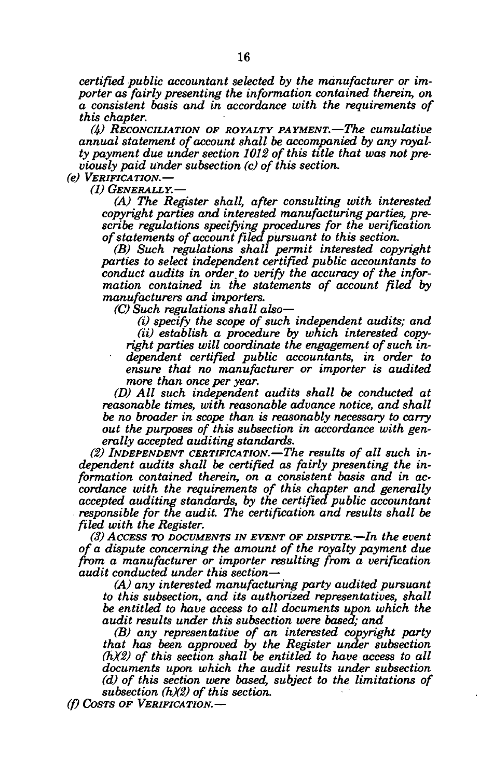*certified public accountant selected by the manufacturer or importer as fairly presenting the information contained therein, on a consistent basis and in accordance with the requirements of this chapter.* 

*(4) RECONCILIATION OF ROYALTY PAYMENT.*—*The cumulative annual statement of account shall be accompanied by any royalty payment due under section 1012 of this title that was not previously paid under subsection (c) of this section.* 

*(e) VERIFICATION.*—

*(1) GENERALLY.*—

*(A) The Register shall, after consulting with interested copyright parties and interested manufacturing parties, prescribe regulations specifying procedures for the verification of statements of account filed pursuant to this section.* 

*(B) Such regulations shall permit interested copyright parties to select independent certified public accountants to conduct audits in order to verify the accuracy of the information contained in the statements of account filed by manufacturers and importers.* 

*(C) Such regulations shall also*—

*(i) specify the scope of such independent audits; and (ii) establish a procedure by which interested copyright parties will coordinate the engagement of such independent certified public accountants, in order to ensure that no manufacturer or importer is audited more than once per year.* 

*(D) All such independent audits shall be conducted at reasonable times, with reasonable advance notice, and shall be no broader in scope than is reasonably necessary to carry out the purposes of this subsection in accordance with generally accepted auditing standards.* 

*(2) INDEPENDENT CERTIFICATION.*—*The results of all such independent audits shall be certified as fairly presenting the information contained therein, on a consistent basis and in accordance with the requirements of this chapter and generally accepted auditing standards, by the certified public accountant responsible for the audit. The certification and results shall be filed with the Register.* 

*(3) ACCESS TO DOCUMENTS IN EVENT OF DISPUTE.*—*In the event of a dispute concerning the amount of the royalty payment due from a manufacturer or importer resulting from a verification audit conducted under this section*—

*(A) any interested manufacturing party audited pursuant to this subsection, and its authorized representatives, shall be entitled to have access to all documents upon which the audit results under this subsection were based; and* 

*(B) any representative of an interested copyright party that has been approved by the Register under subsection (hX2) of this section shall be entitled to have access to all documents upon which the audit results under subsection (d) of this section were based, subject to the limitations of subsection (hX2) of this section.* 

*(f) COSTS OF VERIFICATION.*—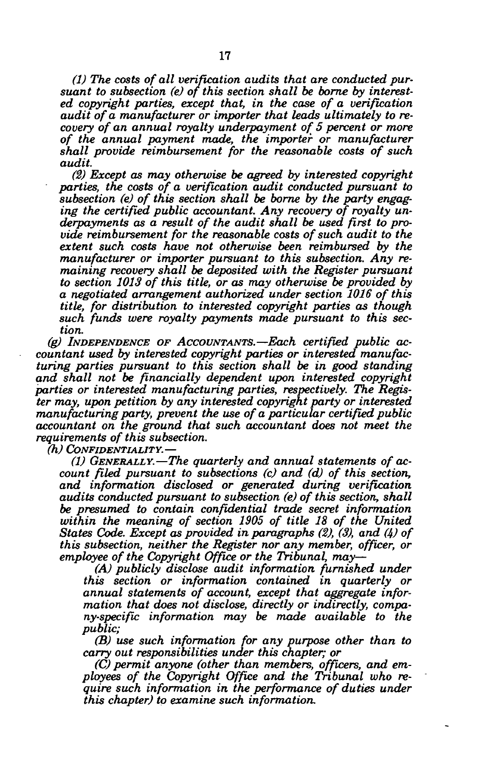*(1) The costs of all verification audits that are conducted pursuant to subsection (e) of this section shall be borne by interested copyright parties, except that, in the case of a verification audit of a manufacturer or importer that leads ultimately to recovery of an annual royalty underpayment of 5 percent or more of the annual payment made, the importer or manufacturer shall provide reimbursement for the reasonable costs of such audit.* 

*(2) Except as may otherwise be agreed by interested copyright parties, the costs of a verification audit conducted pursuant to subsection (e) of this section shall be borne by the party engaging the certified public accountant. Any recovery of royalty underpayments as a result of the audit shall be used first to provide reimbursement for the reasonable costs of such audit to the extent such costs have not otherwise been reimbursed by the manufacturer or importer pursuant to this subsection. Any remaining recovery shall be deposited with the Register pursuant to section 1013 of this title, or as may otherwise be provided by a negotiated arrangement authorized under section 1016 of this title, for distribution to interested copyright parties as though such funds were royalty payments made pursuant to this section.* 

*(g) INDEPENDENCE OF ACCOUNTANTS.*—*Each certified public accountant used by interested copyright parties or interested manufacturing parties pursuant to this section shall be in good standing and shall not be financially dependent upon interested copyright parties or interested manufacturing parties, respectively. The Register may, upon petition by any interested copyright party or interested manufacturing party, prevent the use of a particular certified public accountant on the ground that such accountant does not meet the requirements of this subsection,* 

*(h) CONFIDENTIALITY.*—

*(1) GENERALLY.*—*The quarterly and annual statements of account filed pursuant to subsections (c) and (d) of this section, and information disclosed or generated during verification audits conducted pursuant to subsection (e) of this section, shall be presumed to contain confidential trade secret information within the meaning of section 1905 of title 18 of the United States Code. Except as provided in paragraphs (2), (3), and (4) of this subsection, neither the Register nor any member, officer, or employee of the Copyright Office or the Tribunal, may*—

*(A) publicly disclose audit information furnished under this section or information contained in quarterly or annual statements of account, except that aggregate information that does not disclose, directly or indirectly, company-specific information may be made available to the public;* 

*(B) use such information for any purpose other than to carry out responsibilities under this chapter; or* 

(C) permit anyone (other than members, officers, and em*ployees of the Copyright Office and the Tribunal who require such information in the performance of duties under this chapter) to examine such information.*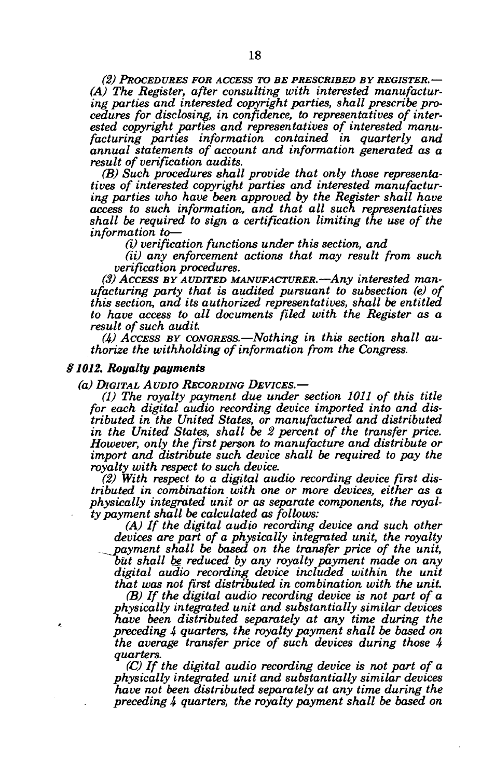*(2) PROCEDURES FOR ACCESS TO BE PRESCRIBED BY REGISTER.*— *(A) The Register, after consulting with interested manufacturing parties and interested copyright parties, shall prescribe procedures for disclosing, in confidence, to representatives of interested copyright parties and representatives of interested manufacturing parties information contained in quarterly and annual statements of account and information generated as a result of verification audits.* 

*(B) Such procedures shall provide that only those representatives of interested copyright parties and interested manufacturing parties who have been approved by the Register shall have access to such information, and that all such representatives shall be required to sign a certification limiting the use of the information to*—

*(i) verification functions under this section, and* 

*(ii) any enforcement actions that may result from such verification procedures.* 

*(3) ACCESS BY AUDITED MANUFACTURER.*—*Any interested manufacturing party that is audited pursuant to subsection (e) of this section, and its authorized representatives, shall be entitled to have access to all documents filed with the Register as a result of such audit.* 

*(4) ACCESS BY CONGRESS.*—*Nothing in this section shall authorize the withholding of information from the Congress.* 

## *§1012. Royalty payments*

*(a) DIGITAL AUDIO RECORDING DEVICES.*—

*(1) The royalty payment due under section 1011 of this title for each digital audio recording device imported into and distributed in the United States, or manufactured and distributed in the United States, shall be 2 percent of the transfer price. However, only the first person to manufacture and distribute or import and distribute such device shall be required to pay the royalty with respect to such device.* 

*(2) With respect to a digital audio recording device first distributed in combination with one or more devices, either as a physically integrated unit or as separate components, the royalty payment shall be calculated as follows:* 

*(A) If the digital audio recording device and such other devices are part of a physically integrated unit, the royalty ^payment shall be based on the transfer price of the unit, but shall be reduced by any royalty payment made on any digital audio recording device included within the unit that was not first distributed in combination with the unit.* 

*(B) If the digital audio recording device is not part of a physically integrated unit and substantially similar devices have been distributed separately at any time during the preceding 4 quarters, the royalty payment shall be based on the average transfer price of such devices during those 4 quarters.* 

*(C) If the digital audio recording device is not part of a physically integrated unit and substantially similar devices have not been distributed separately at any time during the preceding 4 quarters, the royalty payment shall be based on*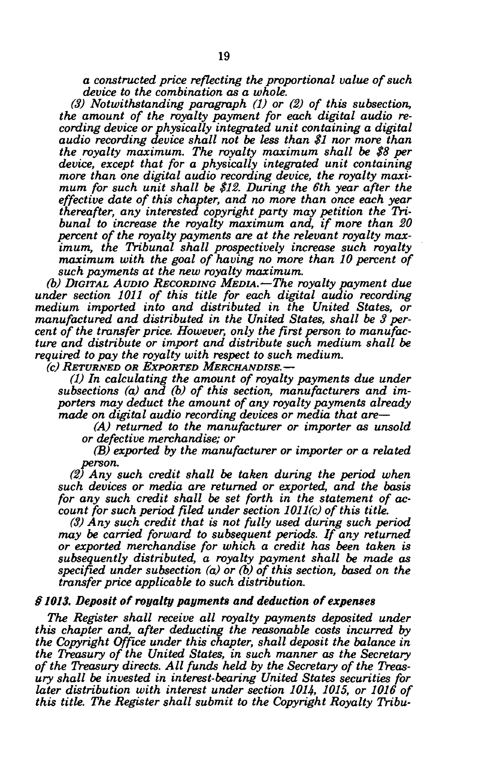*a constructed price reflecting the proportional value of such device to the combination as a whole.* 

*(3) Notwithstanding paragraph (1) or (2) of this subsection, the amount of the royalty payment for each digital audio recording device or physically integrated unit containing a digital audio recording device shall not be less than \$1 nor more than the royalty maximum. The royalty maximum shall be \$8 per device, except that for a physically integrated unit containing more than one digital audio recording device, the royalty maximum for such unit shall be \$12. During the 6th year after the effective date of this chapter, and no more than once each year thereafter, any interested copyright party may petition the Tribunal to increase the royalty maximum and, if more than 20 percent of the royalty payments are at the relevant royalty maximum, the Tribunal shall prospectively increase such royalty*  maximum with the goal of having no more than 10 percent of *such payments at the new royalty maximum.* 

*(b) DIGITAL AUDIO RECORDING MEDIA.*—*The royalty payment due under section 1011 of this title for each digital audio recording medium imported into and distributed in the United States, or manufactured and distributed in the United States, shall be 3 percent of the transfer price. However, only the first person to manufacture and distribute or import and distribute such medium shall be required to pay the royalty with respect to such medium.* 

*(c) RETURNED OR EXPORTED MERCHANDISE.*—

*(1) In calculating the amount of royalty payments due under subsections (a) and (b) of this section, manufacturers and importers may deduct the amount of any royalty payments already made on digital audio recording devices or media that are*—

*(A) returned to the manufacturer or importer as unsold or defective merchandise; or* 

*(B) exported by the manufacturer or importer or a related person.* 

*(2) Any such credit shall be taken during the period when such devices or media are returned or exported, and the basis for any such credit shall be set forth in the statement of account for such period filed under section 1011(c) of this title.* 

*(3) Any such credit that is not fully used during such period may be carried forward to subsequent periods. If any returned or exported merchandise for which a credit has been taken is subsequently distributed, a royalty payment shall be made as specified under subsection (a) or (b) of this section, based on the transfer price applicable to such distribution.* 

## *§ 1013. Deposit of royalty payments and deduction of expenses*

*The Register shall receive all royalty payments deposited under this chapter and, after deducting the reasonable costs incurred by the Copyright Office under this chapter, shall deposit the balance in the Treasury of the United States, in such manner as the Secretary of the Treasury directs. All funds held by the Secretary of the Treasury shall be invested in interest-bearing United States securities for later distribution with interest under section 1014, 1015, or 1016 of this title. The Register shall submit to the Copyright Royalty Tribu-*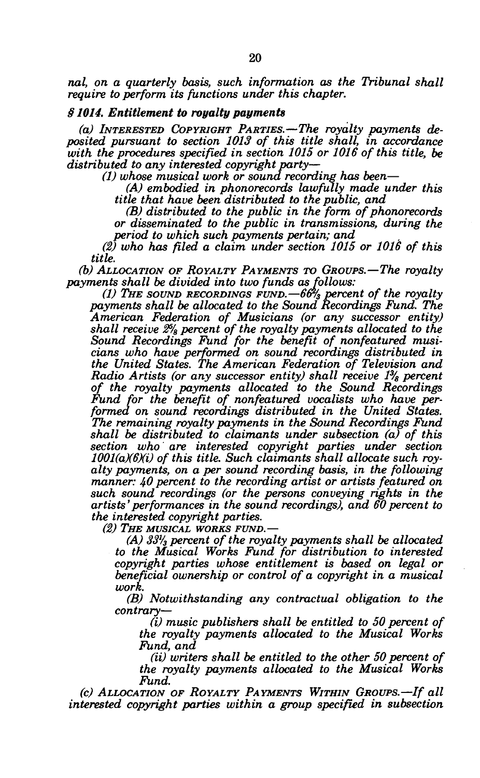*nal, on a quarterly basis, such information as the Tribunal shall require to perform its functions under this chapter.* 

## *§ 1014. Entitlement to royalty payments*

*(a) INTERESTED COPYRIGHT PARTIES.*—*The royalty payments deposited pursuant to section 1013 of this title shall, in accordance with the procedures specified in section 1015 or 1016 of this title, be distributed to any interested copyright party*—

*(1) whose musical work or sound recording has been*—

*(A) embodied in phonorecords lawfully made under this title that have been distributed to the public, and* 

*(B) distributed to the public in the form of phonorecords or disseminated to the public in transmissions, during the period to which such payments pertain; and* 

*(2) who has filed a claim under section 1015 or 1016 of this title.* 

*(b) ALLOCATION OF ROYALTY PAYMENTS TO GROUPS.*—*The royalty payments shall be divided into two funds as follows:* 

*(1) THE SOUND RECORDINGS FUND.*—*66% percent of the royalty payments shall be allocated to the Sound Recordings Fund. The American Federation of Musicians (or any successor entity) shall receive 2% percent of the royalty payments allocated to the Sound Recordings Fund for the benefit of nonfeatured musicians who have performed on sound recordings distributed in the United States. The American Federation of Television and Radio Artists (or any successor entity) shall receive 1% percent of the royalty payments allocated to the Sound Recordings Fund for the benefit of nonfeatured vocalists who have performed on sound recordings distributed in the United States. The remaining royalty payments in the Sound Recordings Fund shall be distributed to claimants under subsection (a) of this section who are interested copyright parties under section 1001(a)(6Xi) of this title. Such claimants shall allocate such royalty payments, on a per sound recording basis, in the following manner: 40 percent to the recording artist or artists featured on such sound recordings (or the persons conveying rights in the artists' performances in the sound recordings), and 60 percent to the interested copyright parties.* 

*(2) THE MUSICAL WORKS FUND.*—

*(A) 33'/3 percent of the royalty payments shall be allocated to the Musical Works Fund for distribution to interested copyright parties whose entitlement is based on legal or beneficial ownership or control of a copyright in a musical work.* 

*(B) Notwithstanding any contractual obligation to the contrary*—

*(i) music publishers shall be entitled to 50 percent of the royalty payments allocated to the Musical Works Fund, and* 

*(ii) writers shall be entitled to the other 50 percent of the royalty payments allocated to the Musical Works Fund.* 

*(c) ALLOCATION OF ROYALTY PAYMENTS WITHIN GROUPS.*—*If all interested copyright parties within a group specified in subsection*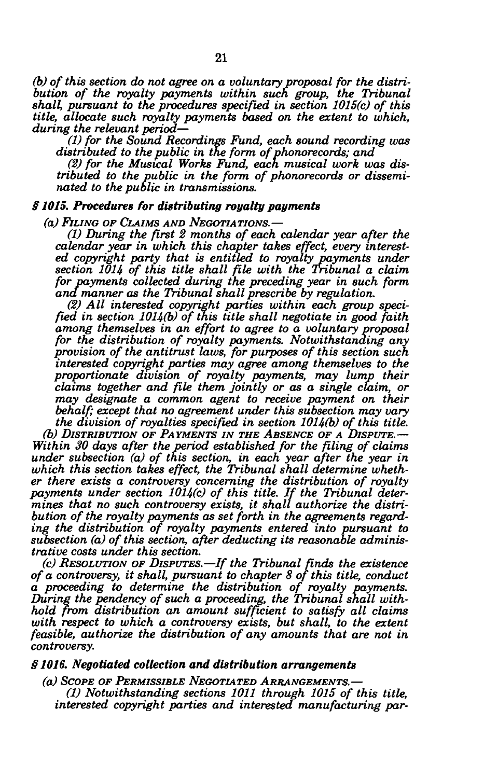*(b) of this section do not agree on a voluntary proposal for the distribution of the royalty payments within such group, the Tribunal shall, pursuant to the procedures specified in section 1015(c) of this title, allocate such royalty payments based on the extent to which, during the relevant period*—

*(1) for the Sound Recordings Fund, each sound recording was distributed to the public in the form of phonorecords; and* 

*(2) for the Musical Works Fund, each musical work was distributed to the public in the form of phonorecords or disseminated to the public in transmissions.* 

## *§ 1015. Procedures for distributing royalty payments*

*(a) FILING OF CLAIMS AND NEGOTIATIONS.*—

*(1) During the first 2 months of each calendar year after the calendar year in which this chapter takes effect, every interested copyright party that is entitled to royalty payments under section 1014 of this title shall file with the Tribunal a claim for payments collected during the preceding year in such form ana manner as the Tribunal shall prescribe by regulation.* 

*(2) All interested copyright parties within each group specified in section 1014(b) of this title shall negotiate in good faith among themselves in an effort to agree to a voluntary proposal for the distribution of royalty payments. Notwithstanding any provision of the antitrust laws, for purposes of this section such interested copyright parties may agree among themselves to the proportionate division of royalty payments, may lump their claims together and file them jointly or as a single claim, or may designate a common agent to receive payment on their behalf; except that no agreement under this subsection may vary the division of royalties specified in section 1014(b) of this title.* 

*(b) DISTRIBUTION OF PAYMENTS IN THE ABSENCE OF A DISPUTE.*— *Within 30 days after the period established for the filing of claims under subsection (a) of this section, in each year after the year in which this section takes effect, the Tribunal shall determine whether there exists a controversy concerning the distribution of royalty payments under section 1014(c) of this title. If the Tribunal determines that no such controversy exists, it shall authorize the distribution of the royalty payments as set forth in the agreements regarding the distribution of royalty payments entered into pursuant to subsection (a) of this section, after deducting its reasonable administrative costs under this section.* 

*(c) RESOLUTION OF DISPUTES.*—*If the Tribunal finds the existence of a controversy, it shall, pursuant to chapter 8 of this title, conduct a proceeding to determine the distribution of royalty payments. During the pendency of such a proceeding, the Tribunal shall withhold from distribution an amount sufficient to satisfy all claims with respect to which a controversy exists, but shall, to the extent feasible, authorize the distribution of any amounts that are not in controversy.* 

## *§ 1016. Negotiated collection and distribution arrangements*

*(a) SCOPE OF PERMISSIBLE NEGOTIATED ARRANGEMENTS.*— *(1) Notwithstanding sections 1011 through 1015 of this title, interested copyright parties and interested manufacturing par-*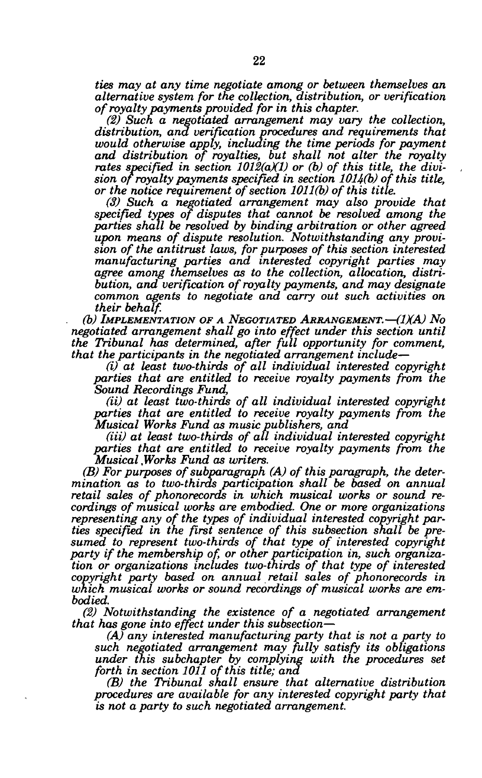*ties may at any time negotiate among or between themselves an alternative system for the collection, distribution, or verification of royalty payments provided for in this chapter.* 

*(2) Such a negotiated arrangement may vary the collection, distribution, and verification procedures and requirements that would otherwise apply, including the time periods for payment and distribution of royalties, but shall not alter the royalty*  rates specified in section 1012(a)(1) or (b) of this title, the divi*sion of royalty payments specified in section 1014(b) of this title, or the notice requirement of section 1011(b) of this title.* 

*(3) Such a negotiated arrangement may also provide that specified types of disputes that cannot be resolved among the parties shall be resolved by binding arbitration or other agreed upon means of dispute resolution. Notwithstanding any provision of the antitrust laws, for purposes of this section interested manufacturing parties and interested copyright parties may agree among themselves as to the collection, allocation, distribution, and verification of royalty payments, and may designate common agents to negotiate and carry out such activities on their behalf.* 

*(b) IMPLEMENTATION OF A NEGOTIATED ARRANGEMENT.*—*(1XA) No negotiated arrangement shall go into effect under this section until the Tribunal has determined, after full opportunity for comment, that the participants in the negotiated arrangement include*—

*(i) at least two-thirds of all individual interested copyright parties that are entitled to receive royalty payments from the Sound Recordings Fund,* 

*(ii) at least two-thirds of all individual interested copyright parties that are entitled to receive royalty payments from the Musical Works Fund as music publishers, and* 

*(Hi) at least two-thirds of all individual interested copyright parties that are entitled to receive royalty payments from the Musical Works Fund as writers.* 

*(B) For purposes of subparagraph (A) of this paragraph, the determination as to two-thirds participation shall be based on annual retail sales of phonorecords in which musical works or sound recordings of musical works are embodied. One or more organizations representing any of the types of individual interested copyright parties specified in the first sentence of this subsection shall be presumed to represent two-thirds of that type of interested copyright party if the membership of, or other participation in, such organization or organizations includes two-thirds of that type of interested copyright party based on annual retail sales of phonorecords in which musical works or sound recordings of musical works are embodied.* 

*(2) Notwithstanding the existence of a negotiated arrangement that has gone into effect under this subsection*—

*(A) any interested manufacturing party that is not a party to such negotiated arrangement may fully satisfy its obligations under this subchapter by complying with the procedures set forth in section 1011 of this title; and* 

*(B) the Tribunal shall ensure that alternative distribution procedures are available for any interested copyright party that is not a party to such negotiated arrangement.*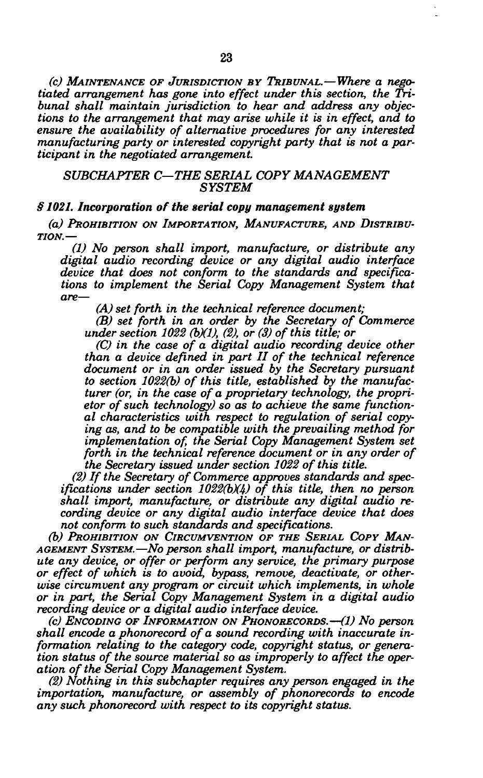*(c) MAINTENANCE OF JURISDICTION BY TRIBUNAL.*—*Where a negotiated arrangement has gone into effect under this section, the Tribunal shall maintain jurisdiction to hear and address any objections to the arrangement that may arise while it is in effect, and to ensure the availability of alternative procedures for any interested manufacturing party or interested copyright party that is not a participant in the negotiated arrangement.* 

## *SUBCHAPTER C—THE SERIAL COPY MANAGEMENT SYSTEM*

## *§ 1021. Incorporation of the serial copy management system*

*(a) PROHIBITION ON IMPORTATION, MANUFACTURE, AND DISTRIBU-TION.*—

*(1) No person shall import, manufacture, or distribute any digital audio recording device or any digital audio interface device that does not conform to the standards and specifications to implement the Serial Copy Management System that are*—

*(A) set forth in the technical reference document;* 

*(B) set forth in an order by the Secretary of Commerce under section 1022 (b)(1), (2), or (3) of this title; or* 

*(C) in the case of a digital audio recording device other than a device defined in part II of the technical reference document or in an order issued by the Secretary pursuant to section 1022(b) of this title, established by the manufacturer (or, in the case of a proprietary technology, the proprietor of such technology) so as to achieve the same functional characteristics with respect to regulation of serial copying as, and to be compatible with the prevailing method for implementation of, the Serial Copy Management System set forth in the technical reference document or in any order of the Secretary issued under section 1022 of this title.* 

*(2) If the Secretary of Commerce approves standards and specifications under section 1022(bX4) of this title, then no person shall import, manufacture, or distribute any digital audio recording device or any digital audio interface device that does not conform to such standards and specifications.* 

*(b) PROHIBITION ON CIRCUMVENTION OF THE SERIAL COPY MAN-AGEMENT SYSTEM.*—*No person shall import, manufacture, or distribute any device, or offer or perform any service, the primary purpose or effect of which is to avoid, bypass, remove, deactivate, or otherwise circumvent any program or circuit which implements, in whole or in part, the Serial Copy Management System in a digital audio recording device or a digital audio interface device.* 

*(c) ENCODING OF INFORMATION ON PHONORECORDS.*—*(1) No person shall encode a phonorecord of a sound recording with inaccurate information relating to the category code, copyright status, or generation status of the source material so as improperly to affect the operation of the Serial Copy Management System.* 

*(2) Nothing in this subchapter requires any person engaged in the importation, manufacture, or assembly of phonorecords to encode any such phonorecord with respect to its copyright status.*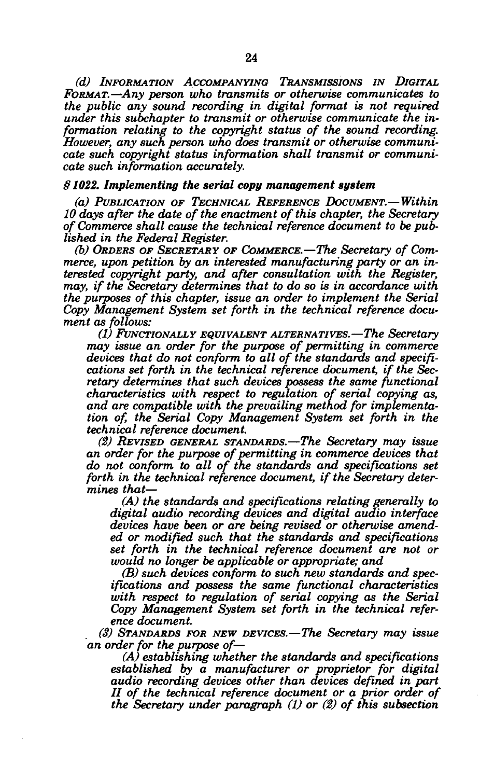*(d) INFORMATION ACCOMPANYING TRANSMISSIONS IN DIGITAL FORMAT.*—*Any person who transmits or otherwise communicates to the public any sound recording in digital format is not required under this subchapter to transmit or otherwise communicate the information relating to the copyright status of the sound recording. However, any such person who does transmit or otherwise communicate such copyright status information shall transmit or communicate such information accurately.* 

## *§1022. Implementing the serial copy management system*

*(a) PUBLICATION OF TECHNICAL REFERENCE DOCUMENT.*—*Within 10 days after the date of the enactment of this chapter, the Secretary of Commerce shall cause the technical reference document to be published in the Federal Register.* 

*(b) ORDERS OF SECRETARY OF COMMERCE.*—*The Secretary of Commerce, upon petition by an interested manufacturing party or an interested copyright party, and after consultation with the Register, may, if the Secretary determines that to do so is in accordance with the purposes of this chapter, issue an order to implement the Serial Copy Management System set forth in the technical reference document as follows:* 

*(1) FUNCTIONALLY EQUIVALENT ALTERNATIVES.*—*The Secretary may issue an order for the purpose of permitting in commerce devices that do not conform to all of the standards and specifications set forth in the technical reference document, if the Secretary determines that such devices possess the same functional characteristics with respect to regulation of serial copying as, and are compatible with the prevailing method for implementation of, the Serial Copy Management System set forth in the technical reference document.* 

*(2) REVISED GENERAL STANDARDS.*—*The Secretary may issue an order for the purpose of permitting in commerce devices that do not conform to all of the standards and specifications set forth in the technical reference document, if the Secretary determines that*—

*(A) the standards and specifications relating generally to digital audio recording devices and digital audio interface devices have been or are being revised or otherwise amended or modified such that the standards and specifications set forth in the technical reference document are not or would no longer be applicable or appropriate; and* 

*(B) such devices conform to such new standards and specifications and possess the same functional characteristics with respect to regulation of serial copying as the Serial Copy Management System set forth in the technical reference document.* 

*(3) STANDARDS FOR NEW DEVICES.*—*The Secretary may issue an order for the purpose of—* 

*(A) establishing whether the standards and specifications established by a manufacturer or proprietor for digital audio recording devices other than devices defined in part II of the technical reference document or a prior order of the Secretary under paragraph (1) or (2) of this subsection*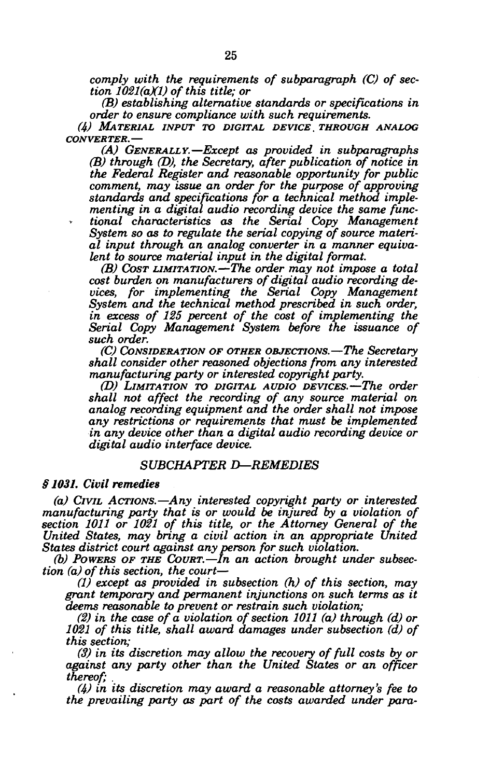*comply with the requirements of subparagraph (C) of section 1021(aXV of this title; or* 

*(B) establishing alternative standards or specifications in order to ensure compliance with such requirements.* 

*(4) MATERIAL INPUT TO DIGITAL DEVICE, THROUGH ANALOG CONVERTER.*—

*(A) GENERALLY.*—*Except as provided in subparagraphs (B) through (D), the Secretary, after publication of notice in the Federal Register and reasonable opportunity for public comment, may issue an order for the purpose of approving standards and specifications for a technical method implementing in a digital audio recording device the same functional characteristics as the Serial Copy Management System so as to regulate the serial copying of source material input through an analog converter in a manner equivalent to source material input in the digital format.* 

*(B) COST LIMITATION.*—*The order may not impose a total cost burden on manufacturers of digital audio recording devices, for implementing the Serial Copy Management System and the technical method prescribed in such order, in excess of 125 percent of the cost of implementing the Serial Copy Management System before the issuance of such order.* 

*(C) CONSIDERATION OF OTHER OBJECTIONS.*—*The Secretary shall consider other reasoned objections from any interested manufacturing party or interested copyright party.* 

*(D) LIMITATION TO DIGITAL AUDIO DEVICES.*—*The order shall not affect the recording of any source material on analog recording equipment and the order shall not impose any restrictions or requirements that must be implemented in any device other than a digital audio recording device or digital audio interface device.* 

## *SUBCHAPTER D—REMEDIES*

## *§ 1031. Civil remedies*

*(a) CIVIL ACTIONS.*—*Any interested copyright party or interested manufacturing party that is or would be injured by a violation of section 1011 or 1021 of this title, or the Attorney General of the United States, may bring a civil action in an appropriate United States district court against any person for such violation.* 

*(b) POWERS OF THE COURT.*—*In an action brought under subsection (a) of this section, the court*—

*(1) except as provided in subsection (h) of this section, may grant temporary and permanent injunctions on such terms as it deems reasonable to prevent or restrain such violation;* 

*(2) in the case of a violation of section 1011 (a) through (d) or 1021 of this title, shall award damages under subsection (d) of this section;* 

*(3) in its discretion may allow the recovery of full costs by or against any party other than the United States or an officer thereof; .* 

(4) in its discretion may award a reasonable attorney's fee to *the prevailing party as part of the costs awarded under para-*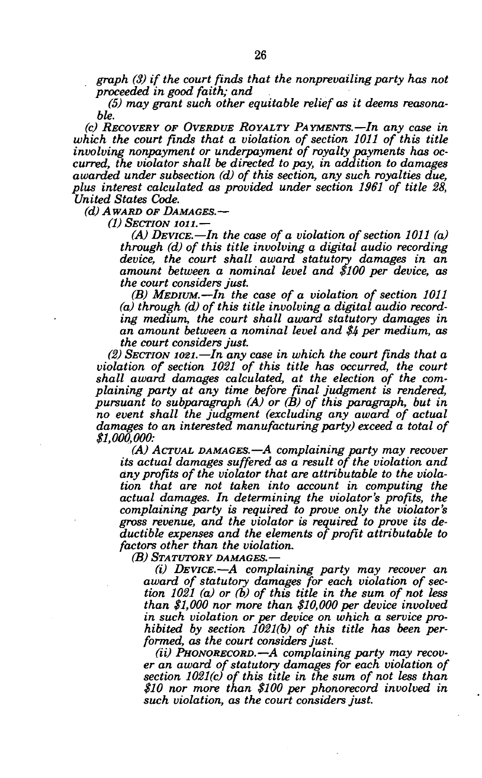*graph (3) if the court finds that the nonprevailing party has not proceeded in good faith; and* 

*(5) may grant such other equitable relief as it deems reasonable.* 

*(c) RECOVERY OF OVERDUE ROYALTY PAYMENTS.*—*In any case in which the court finds that a violation of section 1011 of this title involving nonpayment or underpayment of royalty payments has occurred, the violator shall be directed to pay, in addition to damages awarded under subsection (d) of this section, any such royalties due, plus interest calculated as provided under section 1961 of title 28, United States Code.* 

*(d) AWARD OF DAMAGES.*—

*(1) SECTION ion.*—

*(A) DEVICE.*—*In the case of a violation of section 1011 (a) through (d) of this title involving a digital audio recording device, the court shall award statutory damages in an amount between a nominal level and \$100 per device, as the court considers just.* 

*(B) MEDIUM.*—*In the case of a violation of section 1011 (a) through (d) of this title involving a digital audio recording medium, the court shall award statutory damages in an amount between a nominal level and \$4 per medium, as the court considers just.* 

*(2) SECTION 1021.*—*In any case in which the court finds that a violation of section 1021 of this title has occurred, the court shall award damages calculated, at the election of the complaining party at any time before final judgment is rendered, pursuant to subparagraph (A) or (B) of this paragraph, but in no event shall the judgment (excluding any award of actual damages to an interested manufacturing party) exceed a total of \$1,000,000:* 

*(A) ACTUAL DAMAGES.*—*A complaining party may recover its actual damages suffered as a result of the violation and any profits of the violator that are attributable to the violation that are not taken into account in computing the actual damages. In determining the violator's profits, the complaining party is required to prove only the violator's gross revenue, and the violator is required to prove its deductible expenses and the elements of profit attributable to factors other than the violation.* 

*(B) STATUTORY DAMAGES.*—

*(i) DEVICE.*—*A complaining party may recover an award of statutory damages for each violation of section 1021 (a) or (b) of this title in the sum of not less than \$1,000 nor more than \$10,000 per device involved in such violation or per device on which a service prohibited by section 1021(b) of this title has been performed, as the court considers just.* 

*(ii) PHONORECORD.*—*A complaining party may recover an award of statutory damages for each violation of section 1021(c) of this title in the sum of not less than \$10 nor more than \$100 per phonorecord involved in such violation, as the court considers just.*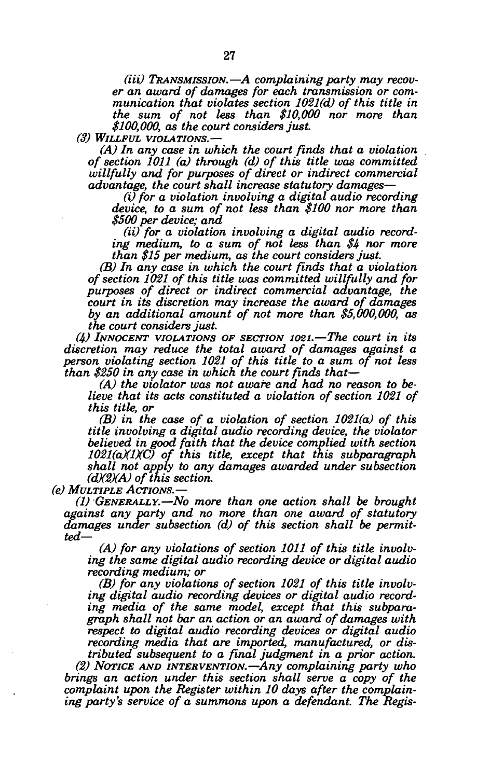*(Hi) TRANSMISSION.***—***A complaining party may recover an award of damages for each transmission or communication that violates section 1021(d) of this title in the sum of not less than \$10,000 nor more than \$100,000, as the court considers just.* 

*(3) WILLFUL VIOLATIONS.***—** 

*(A) In any case in which the court finds that a violation of section 1011 (a) through (d) of this title was committed willfully and for purposes of direct or indirect commercial advantage, the court shall increase statutory damages***—** 

*(i) for a violation involving a digital audio recording device, to a sum of not less than \$100 nor more than \$500 per device; and* 

*(ii) for a violation involving a digital audio recording medium, to a sum of not less than \$4 nor more than \$15 per medium, as the court considers just.* 

*(B) In any case in which the court finds that a violation of section 1021 of this title was committed willfully and for purposes of direct or indirect commercial advantage, the court in its discretion may increase the award of damages by an additional amount of not more than \$5,000,000, as the court considers just.* 

*(4) INNOCENT VIOLATIONS OF SECTION IOZI.***—***The court in its discretion may reduce the total award of damages against a person violating section 1021 of this title to a sum of not less than \$250 in any case in which the court finds that***—** 

*(A) the violator was not aware and had no reason to believe that its acts constituted a violation of section 1021 of this title, or* 

*(B) in the case of a violation of section 1021(a) of this title involving a digital audio recording device, the violator believed in good faith that the device complied with section 1021(aXlXC) of this title, except that this subparagraph shall not apply to any damages awarded under subsection (dX2)(A) of this section.* 

*(e) MULTIPLE ACTIONS.***—** 

*(1) GENERALLY.***—***No more than one action shall be brought against any party and no more than one award of statutory damages under subsection (d) of this section shall be permitted—* 

*(A) for any violations of section 1011 of this title involving the same digital audio recording device or digital audio recording medium; or* 

*(B) for any violations of section 1021 of this title involving digital audio recording devices or digital audio recording media of the same model, except that this subparagraph shall not bar an action or an award of damages with respect to digital audio recording devices or digital audio recording media that are imported, manufactured, or distributed subsequent to a final judgment in a prior action.* 

*(2) NOTICE AND INTERVENTION.***—***Any complaining party who brings an action under this section shall serve a copy of the complaint upon the Register within 10 days after the complaining party's service of a summons upon a defendant. The Regis-*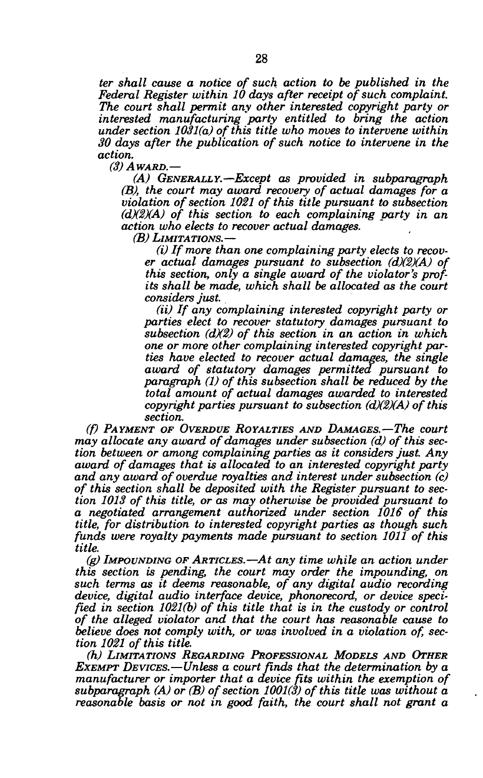*ter shall cause a notice of such action to be published in the Federal Register within 10 days after receipt of such complaint. The court shall permit any other interested copyright party or interested manufacturing party entitled to bring the action under section 1031(a) of this title who moves to intervene within 30 days after the publication of such notice to intervene in the action.* 

*(3) AWARD.—* 

*(A) GENERALLY.*—*Except as provided in subparagraph (B), the court may award recovery of actual damages for a violation of section 1021 of this title pursuant to subsection (dX2XA) of this section to each complaining party in an action who elects to recover actual damages.* 

*(B) LIMITATIONS.*—

*(i) If more than one complaining party elects to recover actual damages pursuant to subsection (dX2)(A) of this section, only a single award of the violator's profits shall be made, which shall be allocated as the court considers just.* 

*(ii) If any complaining interested copyright party or parties elect to recover statutory damages pursuant to subsection (dX2) of this section in an action in which one or more other complaining interested copyright parties have elected to recover actual damages, the single award of statutory damages permitted pursuant to paragraph (1) of this subsection shall be reduced by the total amount of actual damages awarded to interested copyright parties pursuant to subsection (dX2XA) of this section.* 

*(f) PAYMENT OF OVERDUE ROYALTIES AND DAMAGES.*—*The court may allocate any award of damages under subsection (d) of this section between or among complaining parties as it considers just. Any award of damages that is allocated to an interested copyright party and any award of overdue royalties and interest under subsection (c) of this section shall be deposited with the Register pursuant to section 1013 of this title, or as may otherwise be provided pursuant to a negotiated arrangement authorized under section 1016 of this title, for distribution to interested copyright parties as though such funds were royalty payments made pursuant to section 1011 of this title.* 

*(g) IMPOUNDING OF ARTICLES.*—*At any time while an action under this section is pending, the court may order the impounding, on such terms as it deems reasonable, of any digital audio recording device, digital audio interface device, phonorecord, or device specified in section 1021(b) of this title that is in the custody or control of the alleged violator and that the court has reasonable cause to believe does not comply with, or was involved in a violation of, section 1021 of this title.* 

*(h) LIMITATIONS REGARDING PROFESSIONAL MODELS AND OTHER EXEMPT DEVICES.*—*Unless a court finds that the determination by a manufacturer or importer that a device fits within the exemption of subparagraph (A) or (B) of section 1001(3) of this title was without a reasonable basis or not in good faith, the court shall not grant a*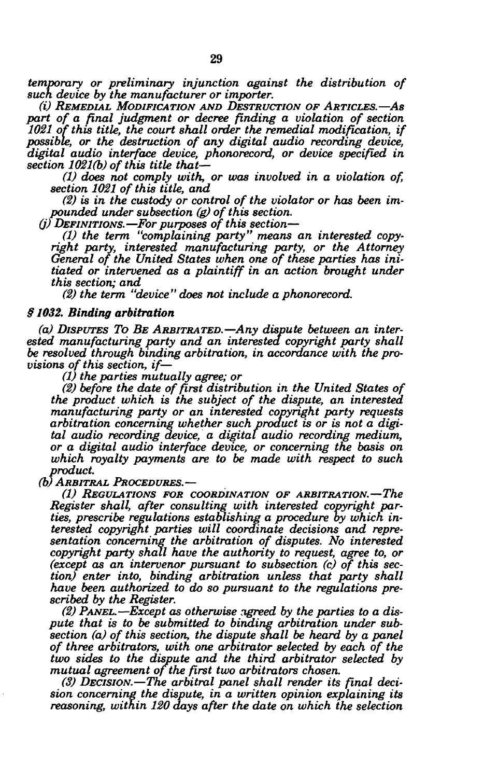*temporary or preliminary injunction against the distribution of such device by the manufacturer or importer.* 

*(i) REMEDIAL MODIFICATION AND DESTRUCTION OF ARTICLES.—AS*  part of a final judgment or decree finding a violation of section *1021 of this title, the court shall order the remedial modification, if possible, or the destruction of any digital audio recording device, digital audio interface device, phonorecord, or device specified in section 1021(b) of this title that—* 

*(1) does not comply with, or was involved in a violation of, section 1021 of this title, and* 

*(2) is in the custody or control of the violator or has been impounded under subsection (g) of this section.* 

*(j) DEFINITIONS.*—*For purposes of this section*—

*(1) the term "complaining party" means an interested copyright party, interested manufacturing party, or the Attorney General of the United States when one of these parties has initiated or intervened as a plaintiff in an action brought under this section; and* 

*(2) the term "device" does not include a phonorecord.* 

#### *§ 1032. Binding arbitration*

*(a) DISPUTES TO BE ARBITRATED.*—*Any dispute between an interested manufacturing party and an interested copyright party shall be resolved through binding arbitration, in accordance with the provisions of this section, if—* 

*(1) the parties mutually agree; or* 

*(2) before the date of first distribution in the United States of the product which is the subject of the dispute, an interested manufacturing party or an interested copyright party requests arbitration concerning whether such product is or is not a digital audio recording device, a digital audio recording medium, or a digital audio interface device, or concerning the basis on which royalty payments are to be made with respect to such product.* 

*(b) ARBITRAL PROCEDURES.*—

*(1) REGULATIONS FOR COORDINATION OF ARBITRATION.*—*The Register shall, after consulting with interested copyright parties, prescribe regulations establishing a procedure by which interested copyright parties will coordinate decisions and representation concerning the arbitration of disputes. No interested copyright party shall have the authority to request, agree to, or (except as an intervener pursuant to subsection (c) of this section) enter into, binding arbitration unless that party shall have been authorized to do so pursuant to the regulations prescribed by the Register.* 

*(2) PANEL.*—*Except as otherwise agreed by the parties to a dispute that is to be submitted to binding arbitration under subsection (a) of this section, the dispute shall be heard by a panel of three arbitrators, with one arbitrator selected by each of the two sides to the dispute and the third arbitrator selected by mutual agreement of the first two arbitrators chosen.* 

*(3) DECISION.*—*The arbitral panel shall render its final decision concerning the dispute, in a written opinion explaining its reasoning, within 120 days after the date on which the selection*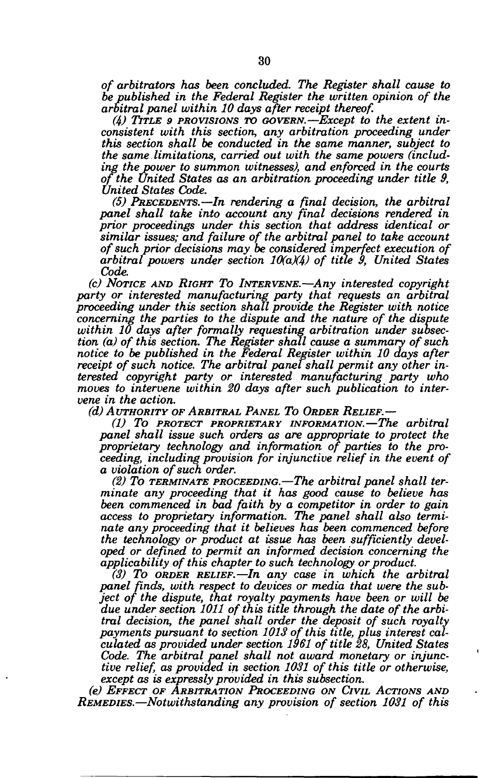*of arbitrators has been concluded. The Register shall cause to be published in the Federal Register the written opinion of the arbitral panel within 10 days after receipt thereof.* 

*(k) TITLE 9 PROVISIONS TO GOVERN.*—*Except to the extent inconsistent with this section, any arbitration proceeding under this section shall be conducted in the same manner, subject to the same limitations, carried out with the same powers (including the power to summon witnesses), and enforced in the courts of the United States as an arbitration proceeding under title 9, United States Code.* 

*(5) PRECEDENTS.*—*In rendering a final decision, the arbitral panel shall take into account any final decisions rendered in prior proceedings under this section that address identical or similar issues; and failure of the arbitral panel to take account of such prior decisions may be considered imperfect execution of arbitral powers under section 10(aX4) of title 9, United States Code.* 

*(c) NOTICE AND RIGHT TO INTERVENE.—Any interested copyright party or interested manufacturing party that requests an arbitral proceeding under this section shall provide the Register with notice concerning the parties to the dispute and the nature of the dispute within 10 days after formally requesting arbitration under subsection (a) of this section. The Register shall cause a summary of such notice to be published in the Federal Register within 10 days after receipt of such notice. The arbitral panel shall permit any other interested copyright party or interested manufacturing party who moves to intervene within 20 days after such publication to intervene in the action.* 

*(d) AUTHORITY OF ARBITRAL PANEL TO ORDER RELIEF.*—

*(1) To PROTECT PROPRIETARY INFORMATION.*—*The arbitral panel shall issue such orders as are appropriate to protect the proprietary technology and information of parties to the proceeding, including provision for injunctive relief in the event of a violation of such order.* 

*(2) To TERMINATE PROCEEDING.*—*The arbitral panel shall terminate any proceeding that it has good cause to believe has been commenced in bad faith by a competitor in order to gain access to proprietary information. The panel shall also terminate any proceeding that it believes has been commenced before the technology or product at issue has been sufficiently developed or defined to permit an informed decision concerning the applicability of this chapter to such technology or product.* 

*(3) To ORDER RELIEF.*—*In any case in which the arbitral panel finds, with respect to devices or media that were the subject of the dispute, that royalty payments have been or will be due under section 1011 of this title through the date of the arbitral decision, the panel shall order the deposit of such royalty payments pursuant to section 1013 of this title, plus interest calculated as provided under section 1961 of title 28, United States Code. The arbitral panel shall not award monetary or injunctive relief, as provided in section 1031 of this title or otherwise, except as is expressly provided in this subsection.* 

*(e) EFFECT OF ARBITRATION PROCEEDING ON CIVIL ACTIONS AND REMEDIES.*—*Notwithstanding any provision of section 1031 of this*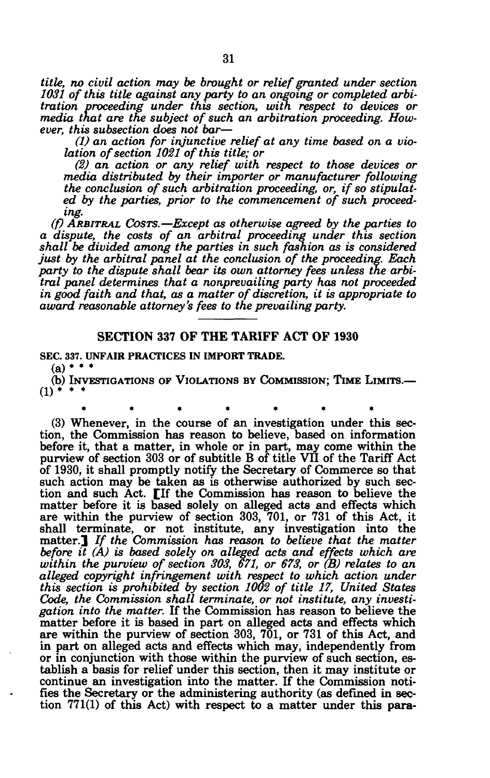*title, no civil action may be brought or relief granted under section 1031 of this title against any party to an ongoing or completed arbitration proceeding under this section, with respect to devices or media that are the subject of such an arbitration proceeding. However, this subsection does not bar*—

*(1) an action for injunctive relief at any time based on a violation of section 1021 of this title; or* 

*(2) an action or any relief with respect to those devices or media distributed by their importer or manufacturer following the conclusion of such arbitration proceeding, or, if so stipulated by the parties, prior to the commencement of such proceeding.* 

*(f) ARBITRAL COSTS.*—*Except as otherwise agreed by the parties to a dispute, the costs of an arbitral proceeding under this section shall be divided among the parties in such fashion as is considered just by the arbitral panel at the conclusion of the proceeding. Each party to the dispute shall bear its own attorney fees unless the arbitral panel determines that a nonprevailing party has not proceeded in good faith and that, as a matter of discretion, it is appropriate to award reasonable attorney's fees to the prevailing party.* 

## SECTION 337 OF THE TARIFF ACT OF 1930

**SEC. 337. UNFAIR PRACTICES IN IMPORT TRADE.** 

**(a) • • •** 

(b) INVESTIGATIONS OF VIOLATIONS BY COMMISSION; TIME LIMITS.—  $(1)$  \* \*

\*\*\*\* \*\*\* \*\* \*\* (3) Whenever, in the course of an investigation under this section, the Commission has reason to believe, based on information before it, that a matter, in whole or in part, may come within the purview of section 303 or of subtitle B of title VII of the Tariff Act of 1930, it shall promptly notify the Secretary of Commerce so that such action may be taken as is otherwise authorized by such section and such Act. [If the Commission has reason to believe the matter before it is based solely on alleged acts and effects which are within the purview of section 303, 701, or 731 of this Act, it shall terminate, or not institute, any investigation into the matter.] *If the Commission has reason to believe that the matter before it (A) is based solely on alleged acts and effects which are within the purview of section 303, 671, or 673, or (B) relates to an alleged copyright infringement with respect to which action under this section is prohibited by section 1002 of title 17, United States Code, the Commission shall terminate, or not institute, any investigation into the matter.* If the Commission has reason to believe the matter before it is based in part on alleged acts and effects which are within the purview of section 303, 701, or 731 of this Act, and in part on alleged acts and effects which may, independently from or in conjunction with those within the purview of such section, establish a basis for relief under this section, then it may institute or continue an investigation into the matter. If the Commission notifies the Secretary or the administering authority (as defined in section 771(1) of this Act) with respect to a matter under this para